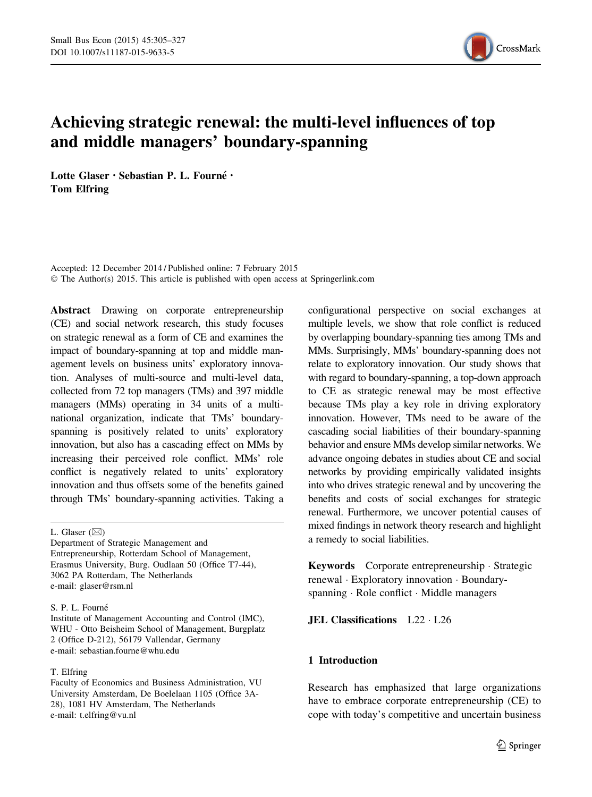

# Achieving strategic renewal: the multi-level influences of top and middle managers' boundary-spanning

Lotte Glaser · Sebastian P. L. Fourné · Tom Elfring

Accepted: 12 December 2014 / Published online: 7 February 2015 © The Author(s) 2015. This article is published with open access at Springerlink.com

Abstract Drawing on corporate entrepreneurship (CE) and social network research, this study focuses on strategic renewal as a form of CE and examines the impact of boundary-spanning at top and middle management levels on business units' exploratory innovation. Analyses of multi-source and multi-level data, collected from 72 top managers (TMs) and 397 middle managers (MMs) operating in 34 units of a multinational organization, indicate that TMs' boundaryspanning is positively related to units' exploratory innovation, but also has a cascading effect on MMs by increasing their perceived role conflict. MMs' role conflict is negatively related to units' exploratory innovation and thus offsets some of the benefits gained through TMs' boundary-spanning activities. Taking a

L. Glaser  $(\boxtimes)$ 

## S. P. L. Fourné

Institute of Management Accounting and Control (IMC), WHU - Otto Beisheim School of Management, Burgplatz 2 (Office D-212), 56179 Vallendar, Germany e-mail: sebastian.fourne@whu.edu

#### T. Elfring

configurational perspective on social exchanges at multiple levels, we show that role conflict is reduced by overlapping boundary-spanning ties among TMs and MMs. Surprisingly, MMs' boundary-spanning does not relate to exploratory innovation. Our study shows that with regard to boundary-spanning, a top-down approach to CE as strategic renewal may be most effective because TMs play a key role in driving exploratory innovation. However, TMs need to be aware of the cascading social liabilities of their boundary-spanning behavior and ensure MMs develop similar networks. We advance ongoing debates in studies about CE and social networks by providing empirically validated insights into who drives strategic renewal and by uncovering the benefits and costs of social exchanges for strategic renewal. Furthermore, we uncover potential causes of mixed findings in network theory research and highlight a remedy to social liabilities.

Keywords Corporate entrepreneurship - Strategic renewal - Exploratory innovation - Boundaryspanning - Role conflict - Middle managers

**JEL Classifications** L22 · L26

# 1 Introduction

Research has emphasized that large organizations have to embrace corporate entrepreneurship (CE) to cope with today's competitive and uncertain business

Department of Strategic Management and Entrepreneurship, Rotterdam School of Management, Erasmus University, Burg. Oudlaan 50 (Office T7-44), 3062 PA Rotterdam, The Netherlands e-mail: glaser@rsm.nl

Faculty of Economics and Business Administration, VU University Amsterdam, De Boelelaan 1105 (Office 3A-28), 1081 HV Amsterdam, The Netherlands e-mail: t.elfring@vu.nl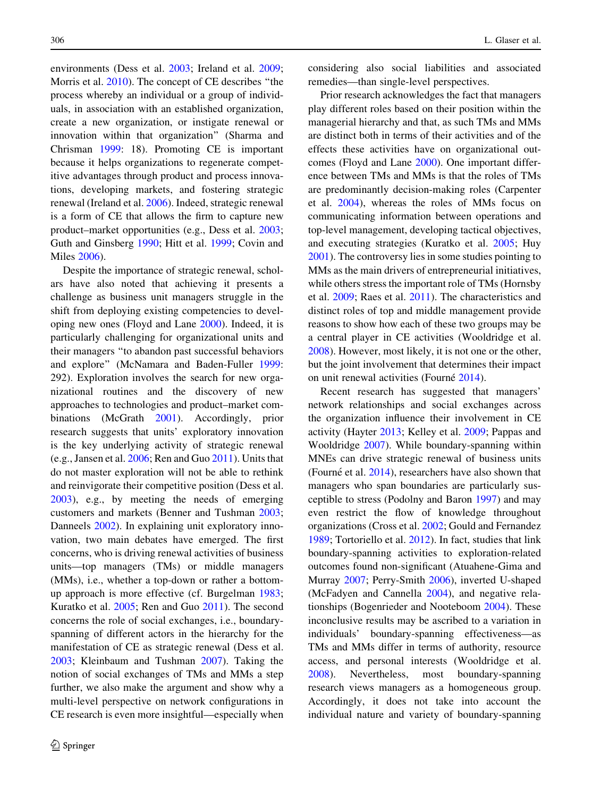environments (Dess et al. [2003](#page-18-0); Ireland et al. [2009](#page-19-0); Morris et al. [2010](#page-20-0)). The concept of CE describes ''the process whereby an individual or a group of individuals, in association with an established organization, create a new organization, or instigate renewal or innovation within that organization'' (Sharma and Chrisman [1999:](#page-21-0) 18). Promoting CE is important because it helps organizations to regenerate competitive advantages through product and process innovations, developing markets, and fostering strategic renewal (Ireland et al. [2006](#page-20-0)). Indeed, strategic renewal is a form of CE that allows the firm to capture new product–market opportunities (e.g., Dess et al. [2003](#page-18-0); Guth and Ginsberg [1990;](#page-19-0) Hitt et al. [1999](#page-19-0); Covin and Miles [2006](#page-18-0)).

Despite the importance of strategic renewal, scholars have also noted that achieving it presents a challenge as business unit managers struggle in the shift from deploying existing competencies to developing new ones (Floyd and Lane [2000\)](#page-19-0). Indeed, it is particularly challenging for organizational units and their managers ''to abandon past successful behaviors and explore'' (McNamara and Baden-Fuller [1999](#page-20-0): 292). Exploration involves the search for new organizational routines and the discovery of new approaches to technologies and product–market combinations (McGrath [2001\)](#page-20-0). Accordingly, prior research suggests that units' exploratory innovation is the key underlying activity of strategic renewal (e.g., Jansen et al. [2006](#page-20-0); Ren and Guo [2011](#page-21-0)). Units that do not master exploration will not be able to rethink and reinvigorate their competitive position (Dess et al. [2003\)](#page-18-0), e.g., by meeting the needs of emerging customers and markets (Benner and Tushman [2003](#page-18-0); Danneels [2002](#page-18-0)). In explaining unit exploratory innovation, two main debates have emerged. The first concerns, who is driving renewal activities of business units—top managers (TMs) or middle managers (MMs), i.e., whether a top-down or rather a bottomup approach is more effective (cf. Burgelman [1983](#page-18-0); Kuratko et al. [2005](#page-20-0); Ren and Guo [2011](#page-21-0)). The second concerns the role of social exchanges, i.e., boundaryspanning of different actors in the hierarchy for the manifestation of CE as strategic renewal (Dess et al. [2003;](#page-18-0) Kleinbaum and Tushman [2007\)](#page-20-0). Taking the notion of social exchanges of TMs and MMs a step further, we also make the argument and show why a multi-level perspective on network configurations in CE research is even more insightful—especially when considering also social liabilities and associated remedies—than single-level perspectives.

Prior research acknowledges the fact that managers play different roles based on their position within the managerial hierarchy and that, as such TMs and MMs are distinct both in terms of their activities and of the effects these activities have on organizational outcomes (Floyd and Lane [2000\)](#page-19-0). One important difference between TMs and MMs is that the roles of TMs are predominantly decision-making roles (Carpenter et al. [2004](#page-18-0)), whereas the roles of MMs focus on communicating information between operations and top-level management, developing tactical objectives, and executing strategies (Kuratko et al. [2005;](#page-20-0) Huy [2001\)](#page-19-0). The controversy lies in some studies pointing to MMs as the main drivers of entrepreneurial initiatives, while others stress the important role of TMs (Hornsby et al. [2009;](#page-19-0) Raes et al. [2011](#page-21-0)). The characteristics and distinct roles of top and middle management provide reasons to show how each of these two groups may be a central player in CE activities (Wooldridge et al. [2008\)](#page-22-0). However, most likely, it is not one or the other, but the joint involvement that determines their impact on unit renewal activities (Fourné [2014\)](#page-19-0).

Recent research has suggested that managers' network relationships and social exchanges across the organization influence their involvement in CE activity (Hayter [2013](#page-19-0); Kelley et al. [2009](#page-20-0); Pappas and Wooldridge [2007](#page-20-0)). While boundary-spanning within MNEs can drive strategic renewal of business units (Fourné et al.  $2014$ ), researchers have also shown that managers who span boundaries are particularly susceptible to stress (Podolny and Baron [1997](#page-21-0)) and may even restrict the flow of knowledge throughout organizations (Cross et al. [2002](#page-18-0); Gould and Fernandez [1989;](#page-19-0) Tortoriello et al. [2012\)](#page-21-0). In fact, studies that link boundary-spanning activities to exploration-related outcomes found non-significant (Atuahene-Gima and Murray [2007](#page-18-0); Perry-Smith [2006\)](#page-21-0), inverted U-shaped (McFadyen and Cannella [2004](#page-20-0)), and negative relationships (Bogenrieder and Nooteboom [2004\)](#page-18-0). These inconclusive results may be ascribed to a variation in individuals' boundary-spanning effectiveness—as TMs and MMs differ in terms of authority, resource access, and personal interests (Wooldridge et al. [2008\)](#page-22-0). Nevertheless, most boundary-spanning research views managers as a homogeneous group. Accordingly, it does not take into account the individual nature and variety of boundary-spanning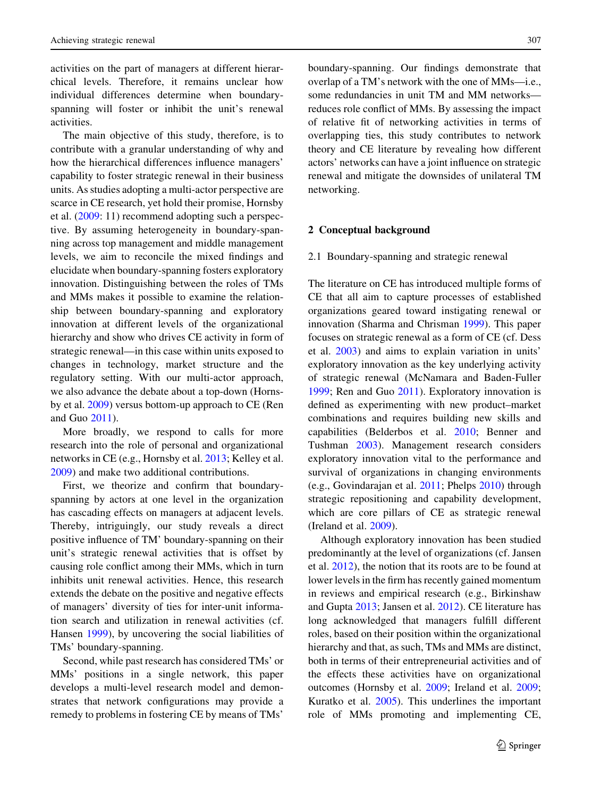activities on the part of managers at different hierarchical levels. Therefore, it remains unclear how individual differences determine when boundaryspanning will foster or inhibit the unit's renewal activities.

The main objective of this study, therefore, is to contribute with a granular understanding of why and how the hierarchical differences influence managers' capability to foster strategic renewal in their business units. As studies adopting a multi-actor perspective are scarce in CE research, yet hold their promise, Hornsby et al. [\(2009](#page-19-0): 11) recommend adopting such a perspective. By assuming heterogeneity in boundary-spanning across top management and middle management levels, we aim to reconcile the mixed findings and elucidate when boundary-spanning fosters exploratory innovation. Distinguishing between the roles of TMs and MMs makes it possible to examine the relationship between boundary-spanning and exploratory innovation at different levels of the organizational hierarchy and show who drives CE activity in form of strategic renewal—in this case within units exposed to changes in technology, market structure and the regulatory setting. With our multi-actor approach, we also advance the debate about a top-down (Hornsby et al. [2009\)](#page-19-0) versus bottom-up approach to CE (Ren and Guo [2011\)](#page-21-0).

More broadly, we respond to calls for more research into the role of personal and organizational networks in CE (e.g., Hornsby et al. [2013;](#page-19-0) Kelley et al. [2009\)](#page-20-0) and make two additional contributions.

First, we theorize and confirm that boundaryspanning by actors at one level in the organization has cascading effects on managers at adjacent levels. Thereby, intriguingly, our study reveals a direct positive influence of TM' boundary-spanning on their unit's strategic renewal activities that is offset by causing role conflict among their MMs, which in turn inhibits unit renewal activities. Hence, this research extends the debate on the positive and negative effects of managers' diversity of ties for inter-unit information search and utilization in renewal activities (cf. Hansen [1999](#page-19-0)), by uncovering the social liabilities of TMs' boundary-spanning.

Second, while past research has considered TMs' or MMs' positions in a single network, this paper develops a multi-level research model and demonstrates that network configurations may provide a remedy to problems in fostering CE by means of TMs'

boundary-spanning. Our findings demonstrate that overlap of a TM's network with the one of MMs—i.e., some redundancies in unit TM and MM networks reduces role conflict of MMs. By assessing the impact of relative fit of networking activities in terms of overlapping ties, this study contributes to network theory and CE literature by revealing how different actors' networks can have a joint influence on strategic renewal and mitigate the downsides of unilateral TM networking.

# 2 Conceptual background

#### 2.1 Boundary-spanning and strategic renewal

The literature on CE has introduced multiple forms of CE that all aim to capture processes of established organizations geared toward instigating renewal or innovation (Sharma and Chrisman [1999\)](#page-21-0). This paper focuses on strategic renewal as a form of CE (cf. Dess et al. [2003](#page-18-0)) and aims to explain variation in units' exploratory innovation as the key underlying activity of strategic renewal (McNamara and Baden-Fuller [1999;](#page-20-0) Ren and Guo [2011\)](#page-21-0). Exploratory innovation is defined as experimenting with new product–market combinations and requires building new skills and capabilities (Belderbos et al. [2010;](#page-18-0) Benner and Tushman [2003](#page-18-0)). Management research considers exploratory innovation vital to the performance and survival of organizations in changing environments (e.g., Govindarajan et al. [2011](#page-19-0); Phelps [2010](#page-21-0)) through strategic repositioning and capability development, which are core pillars of CE as strategic renewal (Ireland et al. [2009\)](#page-19-0).

Although exploratory innovation has been studied predominantly at the level of organizations (cf. Jansen et al. [2012\)](#page-20-0), the notion that its roots are to be found at lower levels in the firm has recently gained momentum in reviews and empirical research (e.g., Birkinshaw and Gupta [2013;](#page-18-0) Jansen et al. [2012\)](#page-20-0). CE literature has long acknowledged that managers fulfill different roles, based on their position within the organizational hierarchy and that, as such, TMs and MMs are distinct, both in terms of their entrepreneurial activities and of the effects these activities have on organizational outcomes (Hornsby et al. [2009;](#page-19-0) Ireland et al. [2009](#page-19-0); Kuratko et al. [2005](#page-20-0)). This underlines the important role of MMs promoting and implementing CE,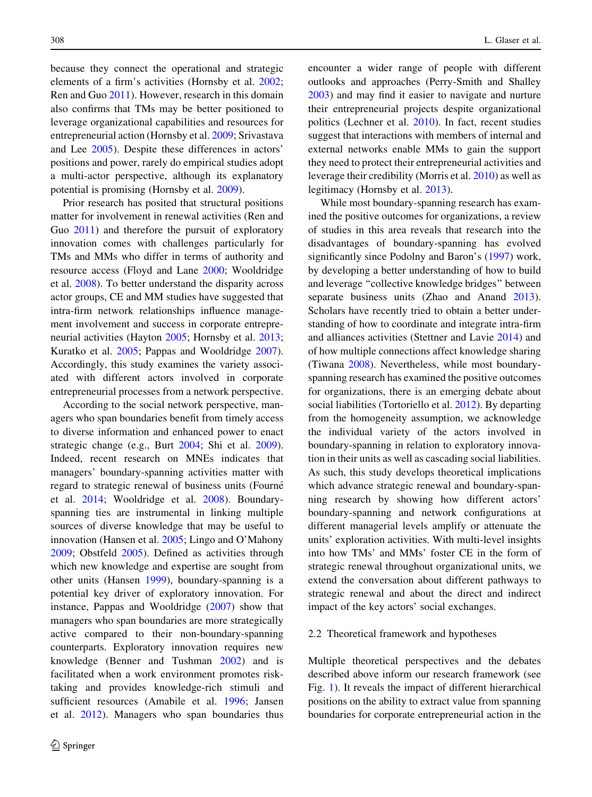because they connect the operational and strategic elements of a firm's activities (Hornsby et al. [2002](#page-19-0); Ren and Guo [2011\)](#page-21-0). However, research in this domain also confirms that TMs may be better positioned to leverage organizational capabilities and resources for entrepreneurial action (Hornsby et al. [2009;](#page-19-0) Srivastava and Lee [2005\)](#page-21-0). Despite these differences in actors' positions and power, rarely do empirical studies adopt a multi-actor perspective, although its explanatory potential is promising (Hornsby et al. [2009\)](#page-19-0).

Prior research has posited that structural positions matter for involvement in renewal activities (Ren and Guo [2011](#page-21-0)) and therefore the pursuit of exploratory innovation comes with challenges particularly for TMs and MMs who differ in terms of authority and resource access (Floyd and Lane [2000;](#page-19-0) Wooldridge et al. [2008](#page-22-0)). To better understand the disparity across actor groups, CE and MM studies have suggested that intra-firm network relationships influence management involvement and success in corporate entrepreneurial activities (Hayton [2005;](#page-19-0) Hornsby et al. [2013](#page-19-0); Kuratko et al. [2005;](#page-20-0) Pappas and Wooldridge [2007](#page-20-0)). Accordingly, this study examines the variety associated with different actors involved in corporate entrepreneurial processes from a network perspective.

According to the social network perspective, managers who span boundaries benefit from timely access to diverse information and enhanced power to enact strategic change (e.g., Burt [2004](#page-18-0); Shi et al. [2009](#page-21-0)). Indeed, recent research on MNEs indicates that managers' boundary-spanning activities matter with regard to strategic renewal of business units (Fourne´ et al. [2014;](#page-19-0) Wooldridge et al. [2008\)](#page-22-0). Boundaryspanning ties are instrumental in linking multiple sources of diverse knowledge that may be useful to innovation (Hansen et al. [2005;](#page-19-0) Lingo and O'Mahony [2009;](#page-20-0) Obstfeld [2005](#page-20-0)). Defined as activities through which new knowledge and expertise are sought from other units (Hansen [1999](#page-19-0)), boundary-spanning is a potential key driver of exploratory innovation. For instance, Pappas and Wooldridge ([2007\)](#page-20-0) show that managers who span boundaries are more strategically active compared to their non-boundary-spanning counterparts. Exploratory innovation requires new knowledge (Benner and Tushman [2002](#page-18-0)) and is facilitated when a work environment promotes risktaking and provides knowledge-rich stimuli and sufficient resources (Amabile et al. [1996;](#page-18-0) Jansen et al. [2012](#page-20-0)). Managers who span boundaries thus encounter a wider range of people with different outlooks and approaches (Perry-Smith and Shalley [2003\)](#page-21-0) and may find it easier to navigate and nurture their entrepreneurial projects despite organizational politics (Lechner et al. [2010\)](#page-20-0). In fact, recent studies suggest that interactions with members of internal and external networks enable MMs to gain the support they need to protect their entrepreneurial activities and leverage their credibility (Morris et al. [2010](#page-20-0)) as well as legitimacy (Hornsby et al. [2013](#page-19-0)).

While most boundary-spanning research has examined the positive outcomes for organizations, a review of studies in this area reveals that research into the disadvantages of boundary-spanning has evolved significantly since Podolny and Baron's [\(1997](#page-21-0)) work, by developing a better understanding of how to build and leverage ''collective knowledge bridges'' between separate business units (Zhao and Anand [2013](#page-22-0)). Scholars have recently tried to obtain a better understanding of how to coordinate and integrate intra-firm and alliances activities (Stettner and Lavie [2014\)](#page-21-0) and of how multiple connections affect knowledge sharing (Tiwana [2008](#page-21-0)). Nevertheless, while most boundaryspanning research has examined the positive outcomes for organizations, there is an emerging debate about social liabilities (Tortoriello et al. [2012\)](#page-21-0). By departing from the homogeneity assumption, we acknowledge the individual variety of the actors involved in boundary-spanning in relation to exploratory innovation in their units as well as cascading social liabilities. As such, this study develops theoretical implications which advance strategic renewal and boundary-spanning research by showing how different actors' boundary-spanning and network configurations at different managerial levels amplify or attenuate the units' exploration activities. With multi-level insights into how TMs' and MMs' foster CE in the form of strategic renewal throughout organizational units, we extend the conversation about different pathways to strategic renewal and about the direct and indirect impact of the key actors' social exchanges.

#### 2.2 Theoretical framework and hypotheses

Multiple theoretical perspectives and the debates described above inform our research framework (see Fig. [1\)](#page-4-0). It reveals the impact of different hierarchical positions on the ability to extract value from spanning boundaries for corporate entrepreneurial action in the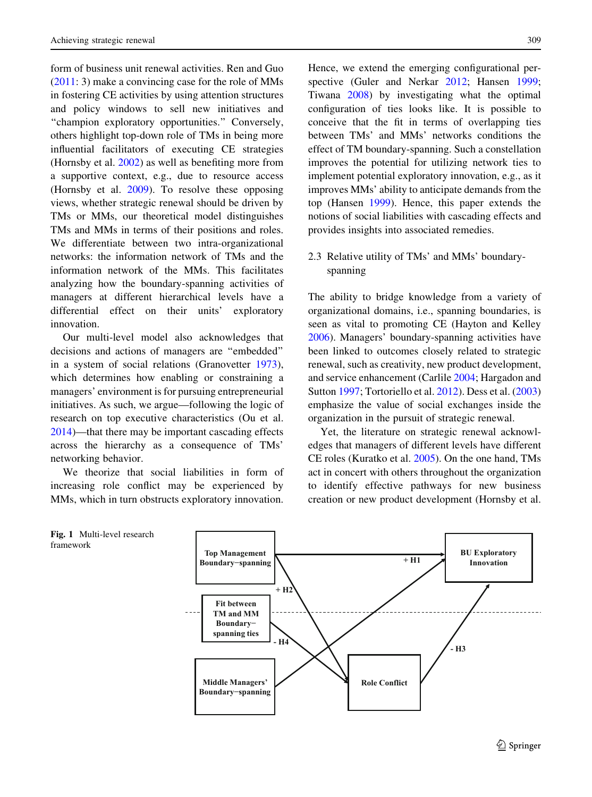<span id="page-4-0"></span>form of business unit renewal activities. Ren and Guo [\(2011](#page-21-0): 3) make a convincing case for the role of MMs in fostering CE activities by using attention structures and policy windows to sell new initiatives and "champion exploratory opportunities." Conversely, others highlight top-down role of TMs in being more influential facilitators of executing CE strategies (Hornsby et al. [2002](#page-19-0)) as well as benefiting more from a supportive context, e.g., due to resource access (Hornsby et al. [2009\)](#page-19-0). To resolve these opposing views, whether strategic renewal should be driven by TMs or MMs, our theoretical model distinguishes TMs and MMs in terms of their positions and roles. We differentiate between two intra-organizational networks: the information network of TMs and the information network of the MMs. This facilitates analyzing how the boundary-spanning activities of managers at different hierarchical levels have a differential effect on their units' exploratory innovation.

Our multi-level model also acknowledges that decisions and actions of managers are ''embedded'' in a system of social relations (Granovetter [1973](#page-19-0)), which determines how enabling or constraining a managers' environment is for pursuing entrepreneurial initiatives. As such, we argue—following the logic of research on top executive characteristics (Ou et al. [2014\)](#page-20-0)—that there may be important cascading effects across the hierarchy as a consequence of TMs' networking behavior.

We theorize that social liabilities in form of increasing role conflict may be experienced by MMs, which in turn obstructs exploratory innovation.

Hence, we extend the emerging configurational per-spective (Guler and Nerkar [2012;](#page-19-0) Hansen [1999](#page-19-0); Tiwana [2008](#page-21-0)) by investigating what the optimal configuration of ties looks like. It is possible to conceive that the fit in terms of overlapping ties between TMs' and MMs' networks conditions the effect of TM boundary-spanning. Such a constellation improves the potential for utilizing network ties to implement potential exploratory innovation, e.g., as it improves MMs' ability to anticipate demands from the top (Hansen [1999](#page-19-0)). Hence, this paper extends the notions of social liabilities with cascading effects and provides insights into associated remedies.

# 2.3 Relative utility of TMs' and MMs' boundaryspanning

The ability to bridge knowledge from a variety of organizational domains, i.e., spanning boundaries, is seen as vital to promoting CE (Hayton and Kelley [2006\)](#page-19-0). Managers' boundary-spanning activities have been linked to outcomes closely related to strategic renewal, such as creativity, new product development, and service enhancement (Carlile [2004;](#page-18-0) Hargadon and Sutton [1997;](#page-19-0) Tortoriello et al. [2012\)](#page-21-0). Dess et al. [\(2003\)](#page-18-0) emphasize the value of social exchanges inside the organization in the pursuit of strategic renewal.

Yet, the literature on strategic renewal acknowledges that managers of different levels have different CE roles (Kuratko et al. [2005\)](#page-20-0). On the one hand, TMs act in concert with others throughout the organization to identify effective pathways for new business creation or new product development (Hornsby et al.



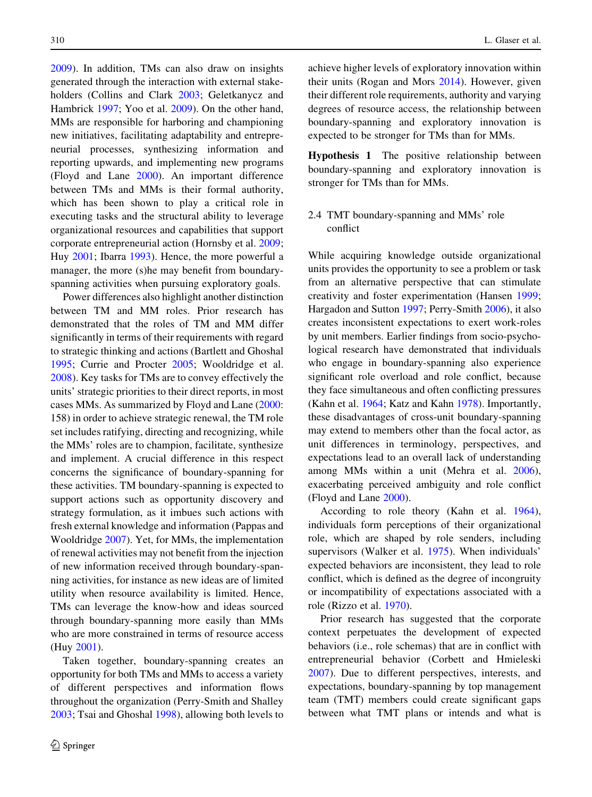[2009\)](#page-19-0). In addition, TMs can also draw on insights generated through the interaction with external stakeholders (Collins and Clark [2003;](#page-18-0) Geletkanycz and Hambrick [1997;](#page-19-0) Yoo et al. [2009](#page-22-0)). On the other hand, MMs are responsible for harboring and championing new initiatives, facilitating adaptability and entrepreneurial processes, synthesizing information and reporting upwards, and implementing new programs (Floyd and Lane [2000](#page-19-0)). An important difference between TMs and MMs is their formal authority, which has been shown to play a critical role in executing tasks and the structural ability to leverage organizational resources and capabilities that support corporate entrepreneurial action (Hornsby et al. [2009](#page-19-0); Huy [2001;](#page-19-0) Ibarra [1993\)](#page-19-0). Hence, the more powerful a manager, the more (s)he may benefit from boundaryspanning activities when pursuing exploratory goals.

Power differences also highlight another distinction between TM and MM roles. Prior research has demonstrated that the roles of TM and MM differ significantly in terms of their requirements with regard to strategic thinking and actions (Bartlett and Ghoshal [1995;](#page-18-0) Currie and Procter [2005](#page-18-0); Wooldridge et al. [2008\)](#page-22-0). Key tasks for TMs are to convey effectively the units' strategic priorities to their direct reports, in most cases MMs. As summarized by Floyd and Lane [\(2000](#page-19-0): 158) in order to achieve strategic renewal, the TM role set includes ratifying, directing and recognizing, while the MMs' roles are to champion, facilitate, synthesize and implement. A crucial difference in this respect concerns the significance of boundary-spanning for these activities. TM boundary-spanning is expected to support actions such as opportunity discovery and strategy formulation, as it imbues such actions with fresh external knowledge and information (Pappas and Wooldridge [2007\)](#page-20-0). Yet, for MMs, the implementation of renewal activities may not benefit from the injection of new information received through boundary-spanning activities, for instance as new ideas are of limited utility when resource availability is limited. Hence, TMs can leverage the know-how and ideas sourced through boundary-spanning more easily than MMs who are more constrained in terms of resource access (Huy [2001](#page-19-0)).

Taken together, boundary-spanning creates an opportunity for both TMs and MMs to access a variety of different perspectives and information flows throughout the organization (Perry-Smith and Shalley [2003;](#page-21-0) Tsai and Ghoshal [1998](#page-21-0)), allowing both levels to achieve higher levels of exploratory innovation within their units (Rogan and Mors [2014\)](#page-21-0). However, given their different role requirements, authority and varying degrees of resource access, the relationship between boundary-spanning and exploratory innovation is expected to be stronger for TMs than for MMs.

Hypothesis 1 The positive relationship between boundary-spanning and exploratory innovation is stronger for TMs than for MMs.

# 2.4 TMT boundary-spanning and MMs' role conflict

While acquiring knowledge outside organizational units provides the opportunity to see a problem or task from an alternative perspective that can stimulate creativity and foster experimentation (Hansen [1999](#page-19-0); Hargadon and Sutton [1997;](#page-19-0) Perry-Smith [2006](#page-21-0)), it also creates inconsistent expectations to exert work-roles by unit members. Earlier findings from socio-psychological research have demonstrated that individuals who engage in boundary-spanning also experience significant role overload and role conflict, because they face simultaneous and often conflicting pressures (Kahn et al. [1964](#page-20-0); Katz and Kahn [1978](#page-20-0)). Importantly, these disadvantages of cross-unit boundary-spanning may extend to members other than the focal actor, as unit differences in terminology, perspectives, and expectations lead to an overall lack of understanding among MMs within a unit (Mehra et al. [2006](#page-20-0)), exacerbating perceived ambiguity and role conflict (Floyd and Lane [2000](#page-19-0)).

According to role theory (Kahn et al. [1964](#page-20-0)), individuals form perceptions of their organizational role, which are shaped by role senders, including supervisors (Walker et al. [1975](#page-22-0)). When individuals' expected behaviors are inconsistent, they lead to role conflict, which is defined as the degree of incongruity or incompatibility of expectations associated with a role (Rizzo et al. [1970](#page-21-0)).

Prior research has suggested that the corporate context perpetuates the development of expected behaviors (i.e., role schemas) that are in conflict with entrepreneurial behavior (Corbett and Hmieleski [2007\)](#page-18-0). Due to different perspectives, interests, and expectations, boundary-spanning by top management team (TMT) members could create significant gaps between what TMT plans or intends and what is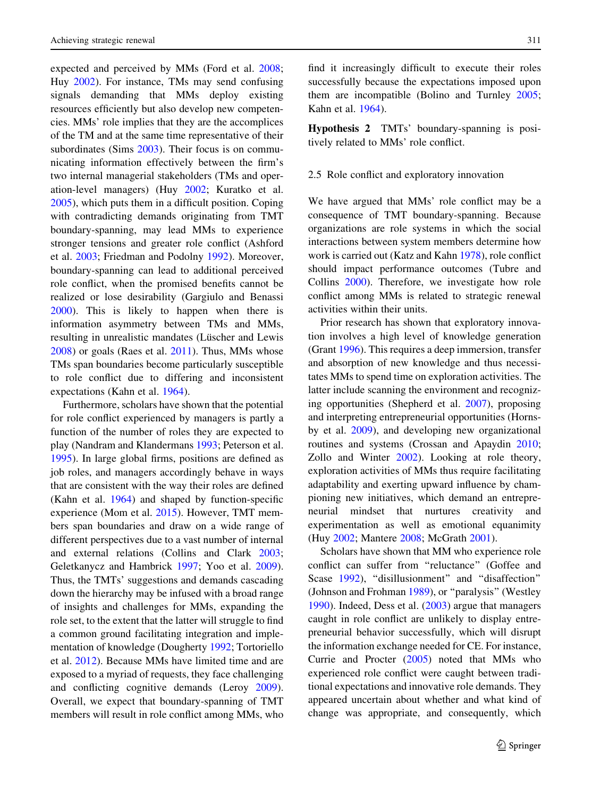expected and perceived by MMs (Ford et al. [2008](#page-19-0); Huy [2002](#page-19-0)). For instance, TMs may send confusing signals demanding that MMs deploy existing resources efficiently but also develop new competencies. MMs' role implies that they are the accomplices of the TM and at the same time representative of their subordinates (Sims [2003\)](#page-21-0). Their focus is on communicating information effectively between the firm's two internal managerial stakeholders (TMs and operation-level managers) (Huy [2002;](#page-19-0) Kuratko et al. [2005\)](#page-20-0), which puts them in a difficult position. Coping with contradicting demands originating from TMT boundary-spanning, may lead MMs to experience stronger tensions and greater role conflict (Ashford et al. [2003](#page-18-0); Friedman and Podolny [1992](#page-19-0)). Moreover, boundary-spanning can lead to additional perceived role conflict, when the promised benefits cannot be realized or lose desirability (Gargiulo and Benassi [2000\)](#page-19-0). This is likely to happen when there is information asymmetry between TMs and MMs, resulting in unrealistic mandates (Lüscher and Lewis [2008\)](#page-20-0) or goals (Raes et al. [2011\)](#page-21-0). Thus, MMs whose TMs span boundaries become particularly susceptible to role conflict due to differing and inconsistent expectations (Kahn et al. [1964](#page-20-0)).

Furthermore, scholars have shown that the potential for role conflict experienced by managers is partly a function of the number of roles they are expected to play (Nandram and Klandermans [1993](#page-20-0); Peterson et al. [1995\)](#page-21-0). In large global firms, positions are defined as job roles, and managers accordingly behave in ways that are consistent with the way their roles are defined (Kahn et al. [1964\)](#page-20-0) and shaped by function-specific experience (Mom et al. [2015\)](#page-20-0). However, TMT members span boundaries and draw on a wide range of different perspectives due to a vast number of internal and external relations (Collins and Clark [2003](#page-18-0); Geletkanycz and Hambrick [1997](#page-19-0); Yoo et al. [2009](#page-22-0)). Thus, the TMTs' suggestions and demands cascading down the hierarchy may be infused with a broad range of insights and challenges for MMs, expanding the role set, to the extent that the latter will struggle to find a common ground facilitating integration and implementation of knowledge (Dougherty [1992;](#page-18-0) Tortoriello et al. [2012\)](#page-21-0). Because MMs have limited time and are exposed to a myriad of requests, they face challenging and conflicting cognitive demands (Leroy [2009](#page-20-0)). Overall, we expect that boundary-spanning of TMT members will result in role conflict among MMs, who

find it increasingly difficult to execute their roles successfully because the expectations imposed upon them are incompatible (Bolino and Turnley [2005](#page-18-0); Kahn et al. [1964\)](#page-20-0).

Hypothesis 2 TMTs' boundary-spanning is positively related to MMs' role conflict.

## 2.5 Role conflict and exploratory innovation

We have argued that MMs' role conflict may be a consequence of TMT boundary-spanning. Because organizations are role systems in which the social interactions between system members determine how work is carried out (Katz and Kahn [1978\)](#page-20-0), role conflict should impact performance outcomes (Tubre and Collins [2000\)](#page-21-0). Therefore, we investigate how role conflict among MMs is related to strategic renewal activities within their units.

Prior research has shown that exploratory innovation involves a high level of knowledge generation (Grant [1996\)](#page-19-0). This requires a deep immersion, transfer and absorption of new knowledge and thus necessitates MMs to spend time on exploration activities. The latter include scanning the environment and recognizing opportunities (Shepherd et al. [2007](#page-21-0)), proposing and interpreting entrepreneurial opportunities (Hornsby et al. [2009\)](#page-19-0), and developing new organizational routines and systems (Crossan and Apaydin [2010](#page-18-0); Zollo and Winter [2002](#page-22-0)). Looking at role theory, exploration activities of MMs thus require facilitating adaptability and exerting upward influence by championing new initiatives, which demand an entrepreneurial mindset that nurtures creativity and experimentation as well as emotional equanimity (Huy [2002](#page-19-0); Mantere [2008;](#page-20-0) McGrath [2001](#page-20-0)).

Scholars have shown that MM who experience role conflict can suffer from ''reluctance'' (Goffee and Scase [1992\)](#page-19-0), "disillusionment" and "disaffection" (Johnson and Frohman [1989](#page-20-0)), or ''paralysis'' (Westley [1990\)](#page-22-0). Indeed, Dess et al. [\(2003](#page-18-0)) argue that managers caught in role conflict are unlikely to display entrepreneurial behavior successfully, which will disrupt the information exchange needed for CE. For instance, Currie and Procter ([2005\)](#page-18-0) noted that MMs who experienced role conflict were caught between traditional expectations and innovative role demands. They appeared uncertain about whether and what kind of change was appropriate, and consequently, which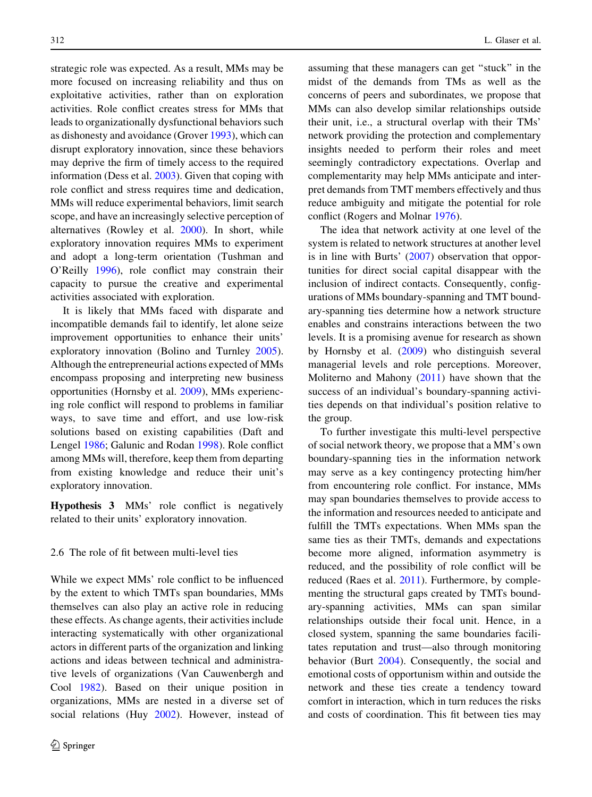strategic role was expected. As a result, MMs may be more focused on increasing reliability and thus on exploitative activities, rather than on exploration activities. Role conflict creates stress for MMs that leads to organizationally dysfunctional behaviors such as dishonesty and avoidance (Grover [1993](#page-19-0)), which can disrupt exploratory innovation, since these behaviors may deprive the firm of timely access to the required information (Dess et al. [2003\)](#page-18-0). Given that coping with role conflict and stress requires time and dedication, MMs will reduce experimental behaviors, limit search scope, and have an increasingly selective perception of alternatives (Rowley et al. [2000\)](#page-21-0). In short, while exploratory innovation requires MMs to experiment and adopt a long-term orientation (Tushman and O'Reilly [1996\)](#page-21-0), role conflict may constrain their capacity to pursue the creative and experimental activities associated with exploration.

It is likely that MMs faced with disparate and incompatible demands fail to identify, let alone seize improvement opportunities to enhance their units' exploratory innovation (Bolino and Turnley [2005](#page-18-0)). Although the entrepreneurial actions expected of MMs encompass proposing and interpreting new business opportunities (Hornsby et al. [2009](#page-19-0)), MMs experiencing role conflict will respond to problems in familiar ways, to save time and effort, and use low-risk solutions based on existing capabilities (Daft and Lengel [1986](#page-18-0); Galunic and Rodan [1998](#page-19-0)). Role conflict among MMs will, therefore, keep them from departing from existing knowledge and reduce their unit's exploratory innovation.

Hypothesis 3 MMs' role conflict is negatively related to their units' exploratory innovation.

## 2.6 The role of fit between multi-level ties

While we expect MMs' role conflict to be influenced by the extent to which TMTs span boundaries, MMs themselves can also play an active role in reducing these effects. As change agents, their activities include interacting systematically with other organizational actors in different parts of the organization and linking actions and ideas between technical and administrative levels of organizations (Van Cauwenbergh and Cool [1982](#page-22-0)). Based on their unique position in organizations, MMs are nested in a diverse set of social relations (Huy [2002\)](#page-19-0). However, instead of assuming that these managers can get ''stuck'' in the midst of the demands from TMs as well as the concerns of peers and subordinates, we propose that MMs can also develop similar relationships outside their unit, i.e., a structural overlap with their TMs' network providing the protection and complementary insights needed to perform their roles and meet seemingly contradictory expectations. Overlap and complementarity may help MMs anticipate and interpret demands from TMT members effectively and thus reduce ambiguity and mitigate the potential for role conflict (Rogers and Molnar [1976\)](#page-21-0).

The idea that network activity at one level of the system is related to network structures at another level is in line with Burts' [\(2007](#page-18-0)) observation that opportunities for direct social capital disappear with the inclusion of indirect contacts. Consequently, configurations of MMs boundary-spanning and TMT boundary-spanning ties determine how a network structure enables and constrains interactions between the two levels. It is a promising avenue for research as shown by Hornsby et al. [\(2009](#page-19-0)) who distinguish several managerial levels and role perceptions. Moreover, Moliterno and Mahony [\(2011](#page-20-0)) have shown that the success of an individual's boundary-spanning activities depends on that individual's position relative to the group.

To further investigate this multi-level perspective of social network theory, we propose that a MM's own boundary-spanning ties in the information network may serve as a key contingency protecting him/her from encountering role conflict. For instance, MMs may span boundaries themselves to provide access to the information and resources needed to anticipate and fulfill the TMTs expectations. When MMs span the same ties as their TMTs, demands and expectations become more aligned, information asymmetry is reduced, and the possibility of role conflict will be reduced (Raes et al. [2011](#page-21-0)). Furthermore, by complementing the structural gaps created by TMTs boundary-spanning activities, MMs can span similar relationships outside their focal unit. Hence, in a closed system, spanning the same boundaries facilitates reputation and trust—also through monitoring behavior (Burt [2004\)](#page-18-0). Consequently, the social and emotional costs of opportunism within and outside the network and these ties create a tendency toward comfort in interaction, which in turn reduces the risks and costs of coordination. This fit between ties may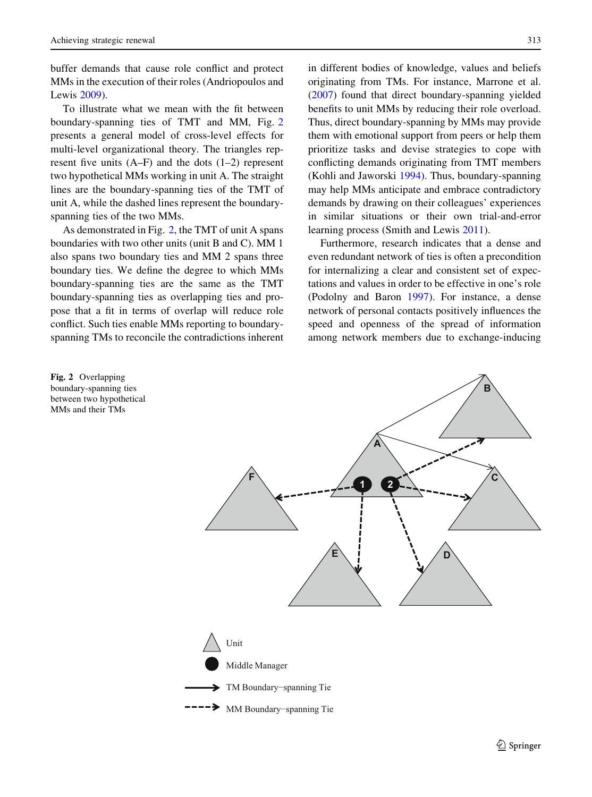Fig. 2 Overlapping boundary-spanning ties between two hypothetical MMs and their TMs

<span id="page-8-0"></span>buffer demands that cause role conflict and protect MMs in the execution of their roles (Andriopoulos and Lewis [2009\)](#page-18-0).

To illustrate what we mean with the fit between boundary-spanning ties of TMT and MM, Fig. 2 presents a general model of cross-level effects for multi-level organizational theory. The triangles represent five units  $(A-F)$  and the dots  $(1-2)$  represent two hypothetical MMs working in unit A. The straight lines are the boundary-spanning ties of the TMT of unit A, while the dashed lines represent the boundaryspanning ties of the two MMs.

As demonstrated in Fig. 2, the TMT of unit A spans boundaries with two other units (unit B and C). MM 1 also spans two boundary ties and MM 2 spans three boundary ties. We define the degree to which MMs boundary-spanning ties are the same as the TMT boundary-spanning ties as overlapping ties and propose that a fit in terms of overlap will reduce role conflict. Such ties enable MMs reporting to boundaryspanning TMs to reconcile the contradictions inherent in different bodies of knowledge, values and beliefs originating from TMs. For instance, Marrone et al. [\(2007](#page-20-0)) found that direct boundary-spanning yielded benefits to unit MMs by reducing their role overload. Thus, direct boundary-spanning by MMs may provide them with emotional support from peers or help them prioritize tasks and devise strategies to cope with conflicting demands originating from TMT members (Kohli and Jaworski [1994](#page-20-0)). Thus, boundary-spanning may help MMs anticipate and embrace contradictory demands by drawing on their colleagues' experiences in similar situations or their own trial-and-error learning process (Smith and Lewis [2011\)](#page-21-0).

Furthermore, research indicates that a dense and even redundant network of ties is often a precondition for internalizing a clear and consistent set of expectations and values in order to be effective in one's role (Podolny and Baron [1997\)](#page-21-0). For instance, a dense network of personal contacts positively influences the speed and openness of the spread of information among network members due to exchange-inducing

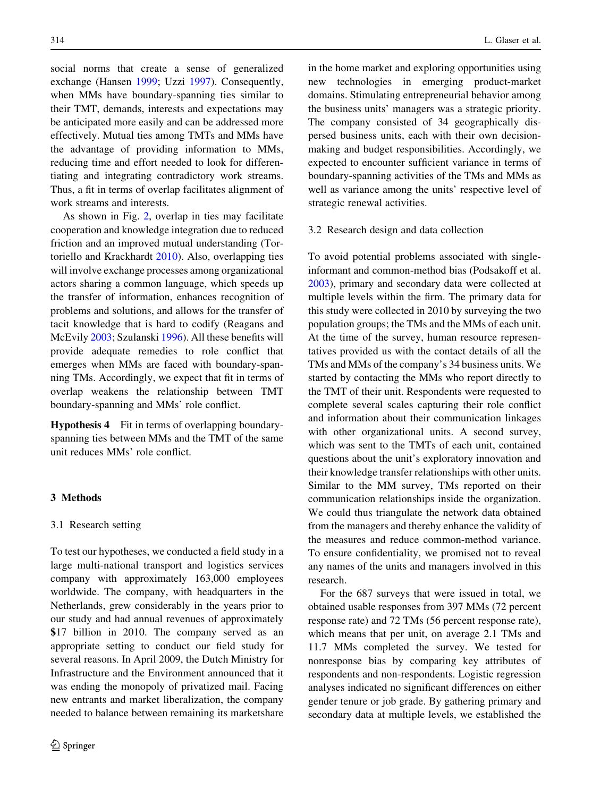social norms that create a sense of generalized exchange (Hansen [1999;](#page-19-0) Uzzi [1997](#page-22-0)). Consequently, when MMs have boundary-spanning ties similar to their TMT, demands, interests and expectations may be anticipated more easily and can be addressed more effectively. Mutual ties among TMTs and MMs have the advantage of providing information to MMs, reducing time and effort needed to look for differentiating and integrating contradictory work streams. Thus, a fit in terms of overlap facilitates alignment of work streams and interests.

As shown in Fig. [2,](#page-8-0) overlap in ties may facilitate cooperation and knowledge integration due to reduced friction and an improved mutual understanding (Tortoriello and Krackhardt [2010](#page-21-0)). Also, overlapping ties will involve exchange processes among organizational actors sharing a common language, which speeds up the transfer of information, enhances recognition of problems and solutions, and allows for the transfer of tacit knowledge that is hard to codify (Reagans and McEvily [2003;](#page-21-0) Szulanski [1996\)](#page-21-0). All these benefits will provide adequate remedies to role conflict that emerges when MMs are faced with boundary-spanning TMs. Accordingly, we expect that fit in terms of overlap weakens the relationship between TMT boundary-spanning and MMs' role conflict.

Hypothesis 4 Fit in terms of overlapping boundaryspanning ties between MMs and the TMT of the same unit reduces MMs' role conflict.

# 3 Methods

#### 3.1 Research setting

To test our hypotheses, we conducted a field study in a large multi-national transport and logistics services company with approximately 163,000 employees worldwide. The company, with headquarters in the Netherlands, grew considerably in the years prior to our study and had annual revenues of approximately \$17 billion in 2010. The company served as an appropriate setting to conduct our field study for several reasons. In April 2009, the Dutch Ministry for Infrastructure and the Environment announced that it was ending the monopoly of privatized mail. Facing new entrants and market liberalization, the company needed to balance between remaining its marketshare in the home market and exploring opportunities using new technologies in emerging product-market domains. Stimulating entrepreneurial behavior among the business units' managers was a strategic priority. The company consisted of 34 geographically dispersed business units, each with their own decisionmaking and budget responsibilities. Accordingly, we expected to encounter sufficient variance in terms of boundary-spanning activities of the TMs and MMs as well as variance among the units' respective level of strategic renewal activities.

#### 3.2 Research design and data collection

To avoid potential problems associated with singleinformant and common-method bias (Podsakoff et al. [2003\)](#page-21-0), primary and secondary data were collected at multiple levels within the firm. The primary data for this study were collected in 2010 by surveying the two population groups; the TMs and the MMs of each unit. At the time of the survey, human resource representatives provided us with the contact details of all the TMs and MMs of the company's 34 business units. We started by contacting the MMs who report directly to the TMT of their unit. Respondents were requested to complete several scales capturing their role conflict and information about their communication linkages with other organizational units. A second survey, which was sent to the TMTs of each unit, contained questions about the unit's exploratory innovation and their knowledge transfer relationships with other units. Similar to the MM survey, TMs reported on their communication relationships inside the organization. We could thus triangulate the network data obtained from the managers and thereby enhance the validity of the measures and reduce common-method variance. To ensure confidentiality, we promised not to reveal any names of the units and managers involved in this research.

For the 687 surveys that were issued in total, we obtained usable responses from 397 MMs (72 percent response rate) and 72 TMs (56 percent response rate), which means that per unit, on average 2.1 TMs and 11.7 MMs completed the survey. We tested for nonresponse bias by comparing key attributes of respondents and non-respondents. Logistic regression analyses indicated no significant differences on either gender tenure or job grade. By gathering primary and secondary data at multiple levels, we established the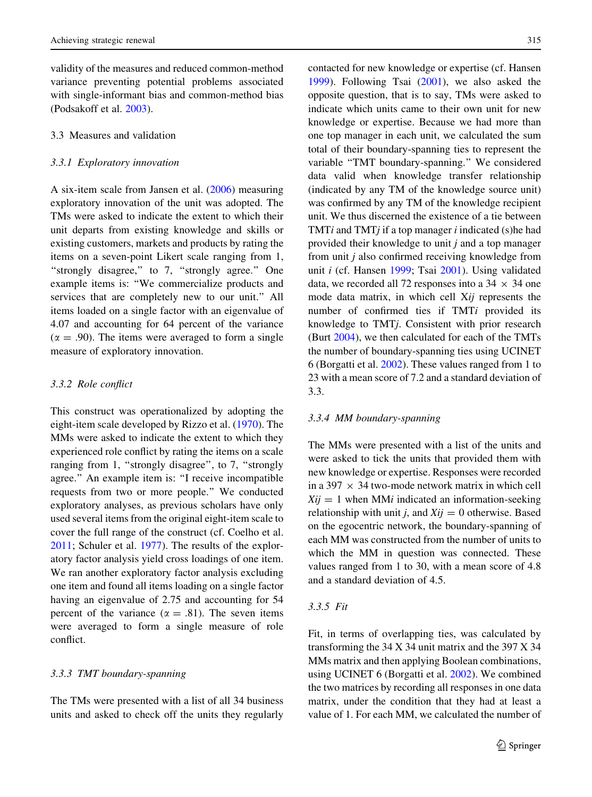validity of the measures and reduced common-method variance preventing potential problems associated with single-informant bias and common-method bias (Podsakoff et al. [2003\)](#page-21-0).

# 3.3 Measures and validation

#### 3.3.1 Exploratory innovation

A six-item scale from Jansen et al. [\(2006](#page-20-0)) measuring exploratory innovation of the unit was adopted. The TMs were asked to indicate the extent to which their unit departs from existing knowledge and skills or existing customers, markets and products by rating the items on a seven-point Likert scale ranging from 1, "strongly disagree," to 7, "strongly agree." One example items is: ''We commercialize products and services that are completely new to our unit.'' All items loaded on a single factor with an eigenvalue of 4.07 and accounting for 64 percent of the variance  $(\alpha = .90)$ . The items were averaged to form a single measure of exploratory innovation.

#### 3.3.2 Role conflict

This construct was operationalized by adopting the eight-item scale developed by Rizzo et al. ([1970\)](#page-21-0). The MMs were asked to indicate the extent to which they experienced role conflict by rating the items on a scale ranging from 1, "strongly disagree", to 7, "strongly agree.'' An example item is: ''I receive incompatible requests from two or more people.'' We conducted exploratory analyses, as previous scholars have only used several items from the original eight-item scale to cover the full range of the construct (cf. Coelho et al. [2011;](#page-18-0) Schuler et al. [1977\)](#page-21-0). The results of the exploratory factor analysis yield cross loadings of one item. We ran another exploratory factor analysis excluding one item and found all items loading on a single factor having an eigenvalue of 2.75 and accounting for 54 percent of the variance ( $\alpha = .81$ ). The seven items were averaged to form a single measure of role conflict.

## 3.3.3 TMT boundary-spanning

The TMs were presented with a list of all 34 business units and asked to check off the units they regularly contacted for new knowledge or expertise (cf. Hansen [1999\)](#page-19-0). Following Tsai [\(2001](#page-21-0)), we also asked the opposite question, that is to say, TMs were asked to indicate which units came to their own unit for new knowledge or expertise. Because we had more than one top manager in each unit, we calculated the sum total of their boundary-spanning ties to represent the variable ''TMT boundary-spanning.'' We considered data valid when knowledge transfer relationship (indicated by any TM of the knowledge source unit) was confirmed by any TM of the knowledge recipient unit. We thus discerned the existence of a tie between TMT $i$  and TMT $j$  if a top manager  $i$  indicated (s)he had provided their knowledge to unit j and a top manager from unit j also confirmed receiving knowledge from unit i (cf. Hansen [1999](#page-19-0); Tsai [2001](#page-21-0)). Using validated data, we recorded all 72 responses into a  $34 \times 34$  one mode data matrix, in which cell Xij represents the number of confirmed ties if TMTi provided its knowledge to TMTj. Consistent with prior research (Burt [2004\)](#page-18-0), we then calculated for each of the TMTs the number of boundary-spanning ties using UCINET 6 (Borgatti et al. [2002](#page-18-0)). These values ranged from 1 to 23 with a mean score of 7.2 and a standard deviation of 3.3.

## 3.3.4 MM boundary-spanning

The MMs were presented with a list of the units and were asked to tick the units that provided them with new knowledge or expertise. Responses were recorded in a 397  $\times$  34 two-mode network matrix in which cell  $Xij = 1$  when MM*i* indicated an information-seeking relationship with unit j, and  $Xij = 0$  otherwise. Based on the egocentric network, the boundary-spanning of each MM was constructed from the number of units to which the MM in question was connected. These values ranged from 1 to 30, with a mean score of 4.8 and a standard deviation of 4.5.

# 3.3.5 Fit

Fit, in terms of overlapping ties, was calculated by transforming the 34 X 34 unit matrix and the 397 X 34 MMs matrix and then applying Boolean combinations, using UCINET 6 (Borgatti et al. [2002](#page-18-0)). We combined the two matrices by recording all responses in one data matrix, under the condition that they had at least a value of 1. For each MM, we calculated the number of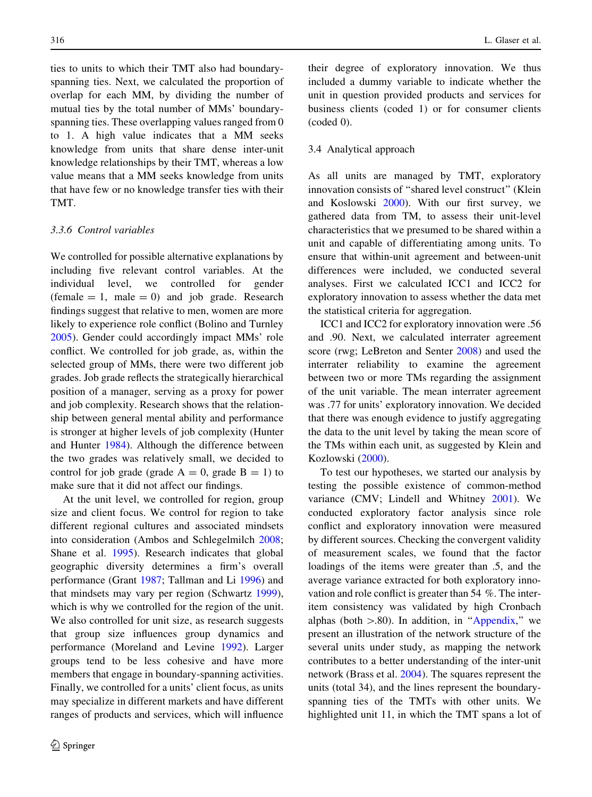ties to units to which their TMT also had boundaryspanning ties. Next, we calculated the proportion of overlap for each MM, by dividing the number of mutual ties by the total number of MMs' boundaryspanning ties. These overlapping values ranged from 0 to 1. A high value indicates that a MM seeks knowledge from units that share dense inter-unit knowledge relationships by their TMT, whereas a low value means that a MM seeks knowledge from units that have few or no knowledge transfer ties with their TMT.

# 3.3.6 Control variables

We controlled for possible alternative explanations by including five relevant control variables. At the individual level, we controlled for gender  $(female = 1, male = 0)$  and job grade. Research findings suggest that relative to men, women are more likely to experience role conflict (Bolino and Turnley [2005\)](#page-18-0). Gender could accordingly impact MMs' role conflict. We controlled for job grade, as, within the selected group of MMs, there were two different job grades. Job grade reflects the strategically hierarchical position of a manager, serving as a proxy for power and job complexity. Research shows that the relationship between general mental ability and performance is stronger at higher levels of job complexity (Hunter and Hunter [1984\)](#page-19-0). Although the difference between the two grades was relatively small, we decided to control for job grade (grade  $A = 0$ , grade  $B = 1$ ) to make sure that it did not affect our findings.

At the unit level, we controlled for region, group size and client focus. We control for region to take different regional cultures and associated mindsets into consideration (Ambos and Schlegelmilch [2008](#page-18-0); Shane et al. [1995](#page-21-0)). Research indicates that global geographic diversity determines a firm's overall performance (Grant [1987;](#page-19-0) Tallman and Li [1996](#page-21-0)) and that mindsets may vary per region (Schwartz [1999](#page-21-0)), which is why we controlled for the region of the unit. We also controlled for unit size, as research suggests that group size influences group dynamics and performance (Moreland and Levine [1992](#page-20-0)). Larger groups tend to be less cohesive and have more members that engage in boundary-spanning activities. Finally, we controlled for a units' client focus, as units may specialize in different markets and have different ranges of products and services, which will influence their degree of exploratory innovation. We thus included a dummy variable to indicate whether the unit in question provided products and services for business clients (coded 1) or for consumer clients (coded 0).

## 3.4 Analytical approach

As all units are managed by TMT, exploratory innovation consists of ''shared level construct'' (Klein and Koslowski [2000](#page-20-0)). With our first survey, we gathered data from TM, to assess their unit-level characteristics that we presumed to be shared within a unit and capable of differentiating among units. To ensure that within-unit agreement and between-unit differences were included, we conducted several analyses. First we calculated ICC1 and ICC2 for exploratory innovation to assess whether the data met the statistical criteria for aggregation.

ICC1 and ICC2 for exploratory innovation were .56 and .90. Next, we calculated interrater agreement score (rwg; LeBreton and Senter [2008](#page-20-0)) and used the interrater reliability to examine the agreement between two or more TMs regarding the assignment of the unit variable. The mean interrater agreement was .77 for units' exploratory innovation. We decided that there was enough evidence to justify aggregating the data to the unit level by taking the mean score of the TMs within each unit, as suggested by Klein and Kozlowski [\(2000](#page-20-0)).

To test our hypotheses, we started our analysis by testing the possible existence of common-method variance (CMV; Lindell and Whitney [2001\)](#page-20-0). We conducted exploratory factor analysis since role conflict and exploratory innovation were measured by different sources. Checking the convergent validity of measurement scales, we found that the factor loadings of the items were greater than .5, and the average variance extracted for both exploratory innovation and role conflict is greater than 54 %. The interitem consistency was validated by high Cronbach alphas (both  $> 0.80$ ). In addition, in "Appendix," we present an illustration of the network structure of the several units under study, as mapping the network contributes to a better understanding of the inter-unit network (Brass et al. [2004](#page-18-0)). The squares represent the units (total 34), and the lines represent the boundaryspanning ties of the TMTs with other units. We highlighted unit 11, in which the TMT spans a lot of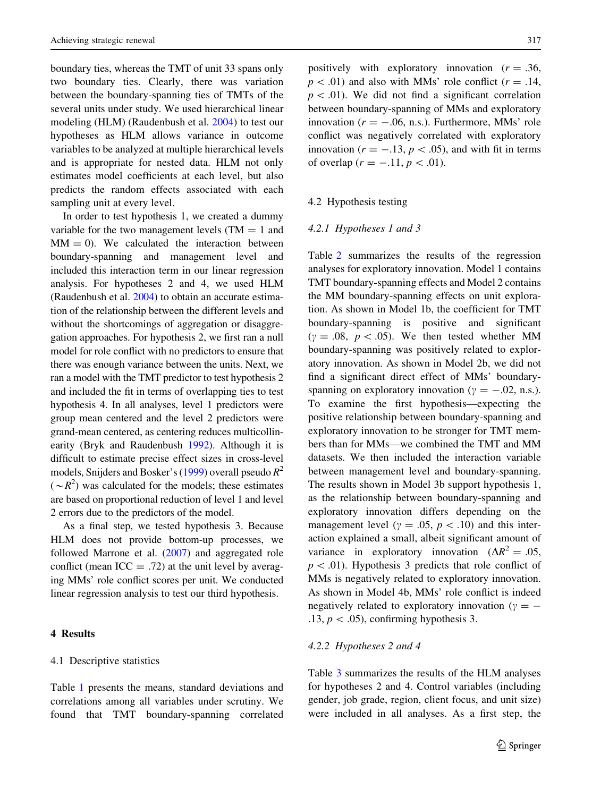boundary ties, whereas the TMT of unit 33 spans only two boundary ties. Clearly, there was variation between the boundary-spanning ties of TMTs of the several units under study. We used hierarchical linear modeling (HLM) (Raudenbush et al. [2004](#page-21-0)) to test our hypotheses as HLM allows variance in outcome variables to be analyzed at multiple hierarchical levels and is appropriate for nested data. HLM not only estimates model coefficients at each level, but also predicts the random effects associated with each sampling unit at every level.

In order to test hypothesis 1, we created a dummy variable for the two management levels ( $TM = 1$  and  $MM = 0$ ). We calculated the interaction between boundary-spanning and management level and included this interaction term in our linear regression analysis. For hypotheses 2 and 4, we used HLM (Raudenbush et al. [2004\)](#page-21-0) to obtain an accurate estimation of the relationship between the different levels and without the shortcomings of aggregation or disaggregation approaches. For hypothesis 2, we first ran a null model for role conflict with no predictors to ensure that there was enough variance between the units. Next, we ran a model with the TMT predictor to test hypothesis 2 and included the fit in terms of overlapping ties to test hypothesis 4. In all analyses, level 1 predictors were group mean centered and the level 2 predictors were grand-mean centered, as centering reduces multicollinearity (Bryk and Raudenbush [1992](#page-18-0)). Although it is difficult to estimate precise effect sizes in cross-level models, Snijders and Bosker's [\(1999\)](#page-21-0) overall pseudo  $R^2$  $({\sim}R^2)$  was calculated for the models; these estimates are based on proportional reduction of level 1 and level 2 errors due to the predictors of the model.

As a final step, we tested hypothesis 3. Because HLM does not provide bottom-up processes, we followed Marrone et al. [\(2007\)](#page-20-0) and aggregated role conflict (mean ICC  $=$  .72) at the unit level by averaging MMs' role conflict scores per unit. We conducted linear regression analysis to test our third hypothesis.

## 4 Results

#### 4.1 Descriptive statistics

Table [1](#page-13-0) presents the means, standard deviations and correlations among all variables under scrutiny. We found that TMT boundary-spanning correlated positively with exploratory innovation  $(r = .36, )$  $p < .01$ ) and also with MMs' role conflict ( $r = .14$ ,  $p\lt 0.01$ ). We did not find a significant correlation between boundary-spanning of MMs and exploratory innovation ( $r = -.06$ , n.s.). Furthermore, MMs' role conflict was negatively correlated with exploratory innovation ( $r = -.13$ ,  $p < .05$ ), and with fit in terms of overlap  $(r = -.11, p < .01)$ .

## 4.2 Hypothesis testing

#### 4.2.1 Hypotheses 1 and 3

Table [2](#page-14-0) summarizes the results of the regression analyses for exploratory innovation. Model 1 contains TMT boundary-spanning effects and Model 2 contains the MM boundary-spanning effects on unit exploration. As shown in Model 1b, the coefficient for TMT boundary-spanning is positive and significant  $(y = .08, p < .05)$ . We then tested whether MM boundary-spanning was positively related to exploratory innovation. As shown in Model 2b, we did not find a significant direct effect of MMs' boundaryspanning on exploratory innovation ( $\gamma = -.02$ , n.s.). To examine the first hypothesis—expecting the positive relationship between boundary-spanning and exploratory innovation to be stronger for TMT members than for MMs—we combined the TMT and MM datasets. We then included the interaction variable between management level and boundary-spanning. The results shown in Model 3b support hypothesis 1, as the relationship between boundary-spanning and exploratory innovation differs depending on the management level ( $\gamma = .05$ ,  $p < .10$ ) and this interaction explained a small, albeit significant amount of variance in exploratory innovation ( $\Delta R^2 = .05$ ,  $p\lt 0.01$ ). Hypothesis 3 predicts that role conflict of MMs is negatively related to exploratory innovation. As shown in Model 4b, MMs' role conflict is indeed negatively related to exploratory innovation ( $\gamma = -$ .13,  $p < .05$ ), confirming hypothesis 3.

## 4.2.2 Hypotheses 2 and 4

Table [3](#page-15-0) summarizes the results of the HLM analyses for hypotheses 2 and 4. Control variables (including gender, job grade, region, client focus, and unit size) were included in all analyses. As a first step, the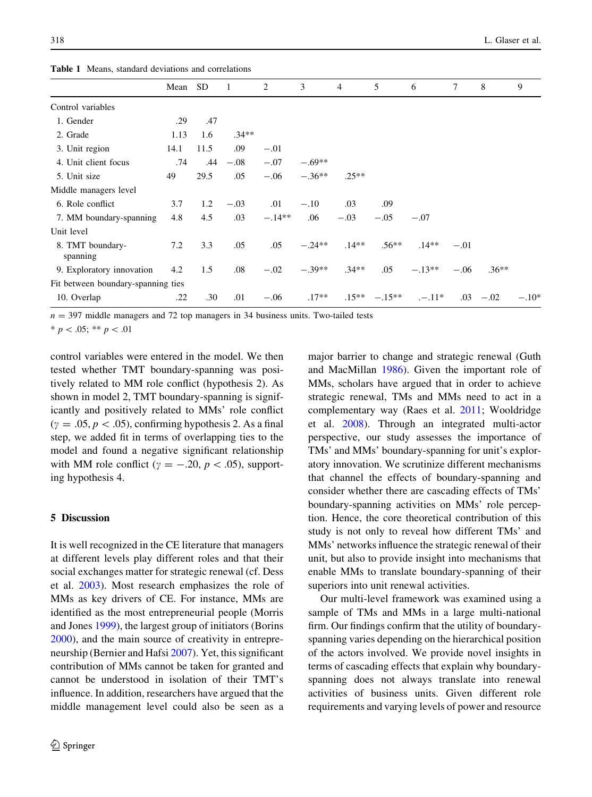<span id="page-13-0"></span>Table 1 Means, standard deviations and correlations

|                                    | Mean | SD.  | - 1     | 2        | 3        | $\overline{4}$ | 5               | 6        | 7      | 8       | 9       |
|------------------------------------|------|------|---------|----------|----------|----------------|-----------------|----------|--------|---------|---------|
| Control variables                  |      |      |         |          |          |                |                 |          |        |         |         |
| 1. Gender                          | .29  | .47  |         |          |          |                |                 |          |        |         |         |
| 2. Grade                           | 1.13 | 1.6  | $.34**$ |          |          |                |                 |          |        |         |         |
| 3. Unit region                     | 14.1 | 11.5 | .09     | $-.01$   |          |                |                 |          |        |         |         |
| 4. Unit client focus               | .74  | .44  | $-.08$  | $-.07$   | $-.69**$ |                |                 |          |        |         |         |
| 5. Unit size                       | 49   | 29.5 | .05     | $-.06$   | $-.36**$ | $.25**$        |                 |          |        |         |         |
| Middle managers level              |      |      |         |          |          |                |                 |          |        |         |         |
| 6. Role conflict                   | 3.7  | 1.2  | $-.03$  | .01      | $-.10$   | .03            | .09             |          |        |         |         |
| 7. MM boundary-spanning            | 4.8  | 4.5  | .03     | $-.14**$ | .06      | $-.03$         | $-.05$          | $-.07$   |        |         |         |
| Unit level                         |      |      |         |          |          |                |                 |          |        |         |         |
| 8. TMT boundary-<br>spanning       | 7.2  | 3.3  | .05     | .05      | $-.24**$ | $.14***$       | $.56**$         | $.14**$  | $-.01$ |         |         |
| 9. Exploratory innovation          | 4.2  | 1.5  | .08     | $-.02$   | $-.39**$ | $.34**$        | .05             | $-.13**$ | $-.06$ | $.36**$ |         |
| Fit between boundary-spanning ties |      |      |         |          |          |                |                 |          |        |         |         |
| 10. Overlap                        | .22  | .30  | .01     | $-.06$   | $.17**$  |                | $.15*** -.15**$ | $-11*$   | .03    | $-.02$  | $-.10*$ |
|                                    |      |      |         |          |          |                |                 |          |        |         |         |

 $n = 397$  middle managers and 72 top managers in 34 business units. Two-tailed tests

 $* p < .05; ** p < .01$ 

control variables were entered in the model. We then tested whether TMT boundary-spanning was positively related to MM role conflict (hypothesis 2). As shown in model 2, TMT boundary-spanning is significantly and positively related to MMs' role conflict  $(y = .05, p < .05)$ , confirming hypothesis 2. As a final step, we added fit in terms of overlapping ties to the model and found a negative significant relationship with MM role conflict ( $\gamma = -.20, p < .05$ ), supporting hypothesis 4.

# 5 Discussion

It is well recognized in the CE literature that managers at different levels play different roles and that their social exchanges matter for strategic renewal (cf. Dess et al. [2003\)](#page-18-0). Most research emphasizes the role of MMs as key drivers of CE. For instance, MMs are identified as the most entrepreneurial people (Morris and Jones [1999\)](#page-20-0), the largest group of initiators (Borins [2000\)](#page-18-0), and the main source of creativity in entrepreneurship (Bernier and Hafsi [2007\)](#page-18-0). Yet, this significant contribution of MMs cannot be taken for granted and cannot be understood in isolation of their TMT's influence. In addition, researchers have argued that the middle management level could also be seen as a major barrier to change and strategic renewal (Guth and MacMillan [1986\)](#page-19-0). Given the important role of MMs, scholars have argued that in order to achieve strategic renewal, TMs and MMs need to act in a complementary way (Raes et al. [2011](#page-21-0); Wooldridge et al. [2008\)](#page-22-0). Through an integrated multi-actor perspective, our study assesses the importance of TMs' and MMs' boundary-spanning for unit's exploratory innovation. We scrutinize different mechanisms that channel the effects of boundary-spanning and consider whether there are cascading effects of TMs' boundary-spanning activities on MMs' role perception. Hence, the core theoretical contribution of this study is not only to reveal how different TMs' and MMs' networks influence the strategic renewal of their unit, but also to provide insight into mechanisms that enable MMs to translate boundary-spanning of their superiors into unit renewal activities.

Our multi-level framework was examined using a sample of TMs and MMs in a large multi-national firm. Our findings confirm that the utility of boundaryspanning varies depending on the hierarchical position of the actors involved. We provide novel insights in terms of cascading effects that explain why boundaryspanning does not always translate into renewal activities of business units. Given different role requirements and varying levels of power and resource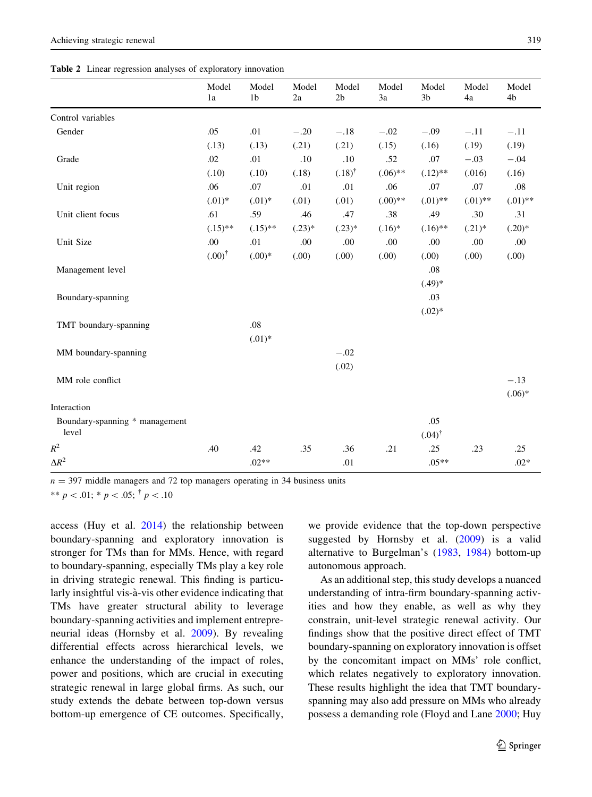<span id="page-14-0"></span>Table 2 Linear regression analyses of exploratory innovation

|                                | Model<br>1a       | Model<br>1 <sub>b</sub> | Model<br>2a | Model<br>2 <sub>b</sub> | Model<br>3a | Model<br>3 <sub>b</sub> | Model<br>4a | Model<br>4b |
|--------------------------------|-------------------|-------------------------|-------------|-------------------------|-------------|-------------------------|-------------|-------------|
| Control variables              |                   |                         |             |                         |             |                         |             |             |
| Gender                         | .05               | .01                     | $-.20$      | $-.18$                  | $-.02$      | $-.09$                  | $-.11$      | $-.11$      |
|                                | (.13)             | (.13)                   | (.21)       | (.21)                   | (.15)       | (.16)                   | (.19)       | (.19)       |
| Grade                          | .02               | .01                     | .10         | .10                     | .52         | .07                     | $-.03$      | $-.04$      |
|                                | (.10)             | (.10)                   | (.18)       | $(.18)^{\dagger}$       | $(.06)$ **  | $(.12)$ **              | (.016)      | (.16)       |
| Unit region                    | .06               | .07                     | .01         | .01                     | .06         | .07                     | .07         | $.08\,$     |
|                                | $(.01)^*$         | $(.01)^*$               | (.01)       | (.01)                   | $(.00)**$   | $(.01)$ **              | $(.01)$ **  | $(.01)$ **  |
| Unit client focus              | .61               | .59                     | .46         | .47                     | .38         | .49                     | .30         | .31         |
|                                | $(.15)$ **        | $(.15)$ **              | $(.23)*$    | $(.23)*$                | $(.16)^*$   | $(.16)$ **              | $(.21)$ *   | $(.20)*$    |
| Unit Size                      | .00               | .01                     | .00         | .00                     | .00         | .00                     | .00         | .00         |
|                                | $(.00)^{\dagger}$ | $(.00)*$                | (.00)       | (.00)                   | (0.00)      | (0.00)                  | (.00)       | (.00)       |
| Management level               |                   |                         |             |                         |             | .08                     |             |             |
|                                |                   |                         |             |                         |             | $(.49)*$                |             |             |
| Boundary-spanning              |                   |                         |             |                         |             | .03                     |             |             |
|                                |                   |                         |             |                         |             | $(.02)^*$               |             |             |
| TMT boundary-spanning          |                   | .08                     |             |                         |             |                         |             |             |
|                                |                   | $(.01)^*$               |             |                         |             |                         |             |             |
| MM boundary-spanning           |                   |                         |             | $-.02$                  |             |                         |             |             |
|                                |                   |                         |             | (.02)                   |             |                         |             |             |
| MM role conflict               |                   |                         |             |                         |             |                         |             | $-.13$      |
|                                |                   |                         |             |                         |             |                         |             | $(.06)*$    |
| Interaction                    |                   |                         |             |                         |             |                         |             |             |
| Boundary-spanning * management |                   |                         |             |                         |             | .05                     |             |             |
| level                          |                   |                         |             |                         |             | $(.04)^{\dagger}$       |             |             |
| $R^2$                          | .40               | .42                     | .35         | .36                     | .21         | .25                     | .23         | .25         |
| $\Delta R^2$                   |                   | $.02**$                 |             | .01                     |             | $.05**$                 |             | $.02*$      |

 $n = 397$  middle managers and 72 top managers operating in 34 business units

\*\*  $p$  < .01; \*  $p$  < .05;  $\dagger$   $p$  < .10

access (Huy et al.  $2014$ ) the relationship between boundary-spanning and exploratory innovation is stronger for TMs than for MMs. Hence, with regard to boundary-spanning, especially TMs play a key role in driving strategic renewal. This finding is particularly insightful vis-à-vis other evidence indicating that TMs have greater structural ability to leverage boundary-spanning activities and implement entrepreneurial ideas (Hornsby et al. [2009\)](#page-19-0). By revealing differential effects across hierarchical levels, we enhance the understanding of the impact of roles, power and positions, which are crucial in executing strategic renewal in large global firms. As such, our study extends the debate between top-down versus bottom-up emergence of CE outcomes. Specifically,

we provide evidence that the top-down perspective suggested by Hornsby et al. ([2009](#page-19-0)) is a valid alternative to Burgelman's ([1983,](#page-18-0) [1984\)](#page-18-0) bottom-up autonomous approach.

As an additional step, this study develops a nuanced understanding of intra-firm boundary-spanning activities and how they enable, as well as why they constrain, unit-level strategic renewal activity. Our findings show that the positive direct effect of TMT boundary-spanning on exploratory innovation is offset by the concomitant impact on MMs' role conflict, which relates negatively to exploratory innovation. These results highlight the idea that TMT boundaryspanning may also add pressure on MMs who already possess a demanding role (Floyd and Lane [2000;](#page-19-0) Huy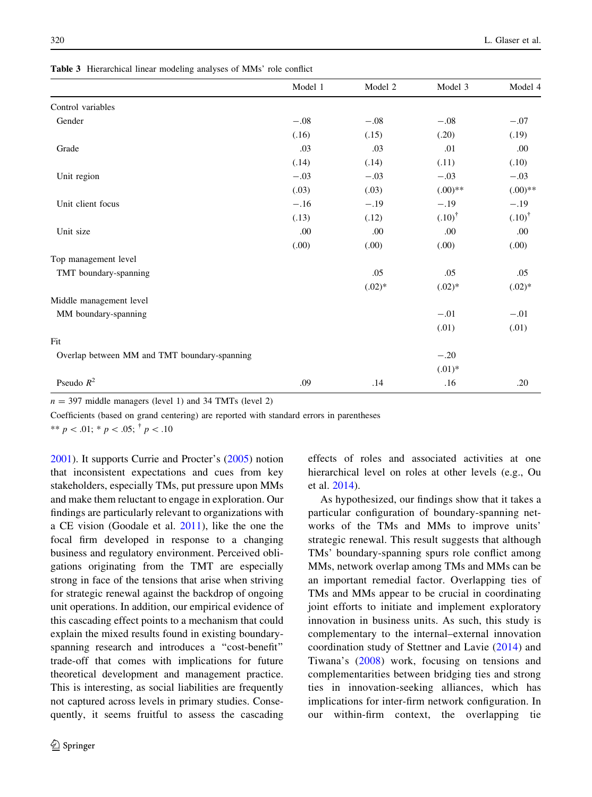<span id="page-15-0"></span>Table 3 Hierarchical linear modeling analyses of MMs' role conflict

|                                              | Model 1 | Model 2  | Model 3           | Model 4           |
|----------------------------------------------|---------|----------|-------------------|-------------------|
| Control variables                            |         |          |                   |                   |
| Gender                                       | $-.08$  | $-.08$   | $-.08$            | $-.07$            |
|                                              | (.16)   | (.15)    | (.20)             | (.19)             |
| Grade                                        | .03     | .03      | .01               | .00               |
|                                              | (.14)   | (.14)    | (.11)             | (.10)             |
| Unit region                                  | $-.03$  | $-.03$   | $-.03$            | $-.03$            |
|                                              | (.03)   | (.03)    | $(.00)$ **        | $(.00)$ **        |
| Unit client focus                            | $-.16$  | $-.19$   | $-.19$            | $-.19$            |
|                                              | (.13)   | (.12)    | $(.10)^{\dagger}$ | $(.10)^{\dagger}$ |
| Unit size                                    | .00     | .00      | .00               | .00               |
|                                              | (0.00)  | (0.00)   | (0.00)            | (.00)             |
| Top management level                         |         |          |                   |                   |
| TMT boundary-spanning                        |         | .05      | .05               | .05               |
|                                              |         | $(.02)*$ | $(.02)^*$         | $(.02)^*$         |
| Middle management level                      |         |          |                   |                   |
| MM boundary-spanning                         |         |          | $-.01$            | $-.01$            |
|                                              |         |          | (.01)             | (.01)             |
| Fit                                          |         |          |                   |                   |
| Overlap between MM and TMT boundary-spanning |         |          | $-.20$            |                   |
|                                              |         |          | $(.01)^*$         |                   |
| Pseudo $R^2$                                 | .09     | .14      | .16               | .20               |

 $n = 397$  middle managers (level 1) and 34 TMTs (level 2)

Coefficients (based on grand centering) are reported with standard errors in parentheses

\*\*  $p$  < .01; \*  $p$  < .05;  $\dagger$   $p$  < .10

[2001\)](#page-19-0). It supports Currie and Procter's [\(2005](#page-18-0)) notion that inconsistent expectations and cues from key stakeholders, especially TMs, put pressure upon MMs and make them reluctant to engage in exploration. Our findings are particularly relevant to organizations with a CE vision (Goodale et al. [2011](#page-19-0)), like the one the focal firm developed in response to a changing business and regulatory environment. Perceived obligations originating from the TMT are especially strong in face of the tensions that arise when striving for strategic renewal against the backdrop of ongoing unit operations. In addition, our empirical evidence of this cascading effect points to a mechanism that could explain the mixed results found in existing boundaryspanning research and introduces a ''cost-benefit'' trade-off that comes with implications for future theoretical development and management practice. This is interesting, as social liabilities are frequently not captured across levels in primary studies. Consequently, it seems fruitful to assess the cascading effects of roles and associated activities at one hierarchical level on roles at other levels (e.g., Ou et al. [2014](#page-20-0)).

As hypothesized, our findings show that it takes a particular configuration of boundary-spanning networks of the TMs and MMs to improve units' strategic renewal. This result suggests that although TMs' boundary-spanning spurs role conflict among MMs, network overlap among TMs and MMs can be an important remedial factor. Overlapping ties of TMs and MMs appear to be crucial in coordinating joint efforts to initiate and implement exploratory innovation in business units. As such, this study is complementary to the internal–external innovation coordination study of Stettner and Lavie ([2014](#page-21-0)) and Tiwana's ([2008](#page-21-0)) work, focusing on tensions and complementarities between bridging ties and strong ties in innovation-seeking alliances, which has implications for inter-firm network configuration. In our within-firm context, the overlapping tie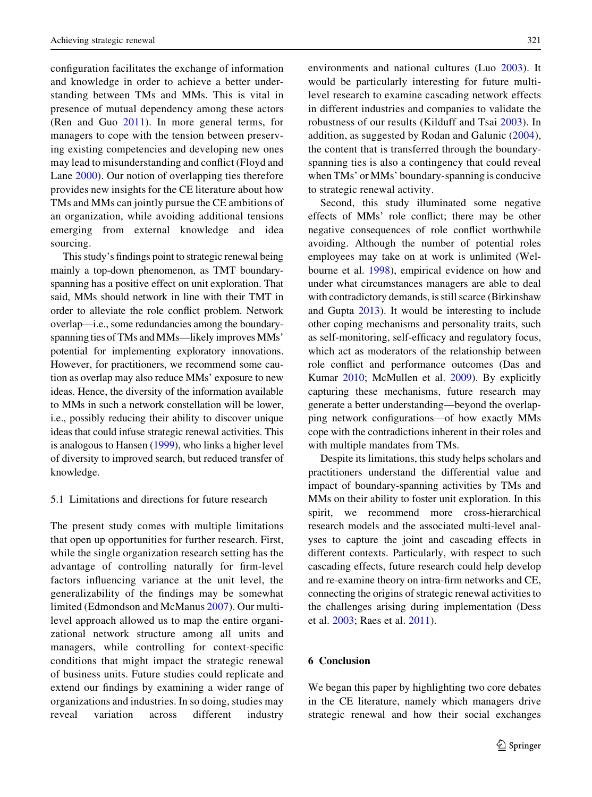configuration facilitates the exchange of information and knowledge in order to achieve a better understanding between TMs and MMs. This is vital in presence of mutual dependency among these actors (Ren and Guo [2011](#page-21-0)). In more general terms, for managers to cope with the tension between preserving existing competencies and developing new ones may lead to misunderstanding and conflict (Floyd and Lane [2000](#page-19-0)). Our notion of overlapping ties therefore provides new insights for the CE literature about how TMs and MMs can jointly pursue the CE ambitions of an organization, while avoiding additional tensions emerging from external knowledge and idea sourcing.

This study's findings point to strategic renewal being mainly a top-down phenomenon, as TMT boundaryspanning has a positive effect on unit exploration. That said, MMs should network in line with their TMT in order to alleviate the role conflict problem. Network overlap—i.e., some redundancies among the boundaryspanning ties of TMs and MMs—likely improves MMs' potential for implementing exploratory innovations. However, for practitioners, we recommend some caution as overlap may also reduce MMs' exposure to new ideas. Hence, the diversity of the information available to MMs in such a network constellation will be lower, i.e., possibly reducing their ability to discover unique ideas that could infuse strategic renewal activities. This is analogous to Hansen ([1999](#page-19-0)), who links a higher level of diversity to improved search, but reduced transfer of knowledge.

## 5.1 Limitations and directions for future research

The present study comes with multiple limitations that open up opportunities for further research. First, while the single organization research setting has the advantage of controlling naturally for firm-level factors influencing variance at the unit level, the generalizability of the findings may be somewhat limited (Edmondson and McManus [2007\)](#page-19-0). Our multilevel approach allowed us to map the entire organizational network structure among all units and managers, while controlling for context-specific conditions that might impact the strategic renewal of business units. Future studies could replicate and extend our findings by examining a wider range of organizations and industries. In so doing, studies may reveal variation across different industry environments and national cultures (Luo [2003\)](#page-20-0). It would be particularly interesting for future multilevel research to examine cascading network effects in different industries and companies to validate the robustness of our results (Kilduff and Tsai [2003](#page-20-0)). In addition, as suggested by Rodan and Galunic ([2004](#page-21-0)), the content that is transferred through the boundaryspanning ties is also a contingency that could reveal when TMs' or MMs' boundary-spanning is conducive to strategic renewal activity.

Second, this study illuminated some negative effects of MMs' role conflict; there may be other negative consequences of role conflict worthwhile avoiding. Although the number of potential roles employees may take on at work is unlimited (Welbourne et al. [1998\)](#page-22-0), empirical evidence on how and under what circumstances managers are able to deal with contradictory demands, is still scarce (Birkinshaw and Gupta [2013](#page-18-0)). It would be interesting to include other coping mechanisms and personality traits, such as self-monitoring, self-efficacy and regulatory focus, which act as moderators of the relationship between role conflict and performance outcomes (Das and Kumar [2010;](#page-18-0) McMullen et al. [2009](#page-20-0)). By explicitly capturing these mechanisms, future research may generate a better understanding—beyond the overlapping network configurations—of how exactly MMs cope with the contradictions inherent in their roles and with multiple mandates from TMs.

Despite its limitations, this study helps scholars and practitioners understand the differential value and impact of boundary-spanning activities by TMs and MMs on their ability to foster unit exploration. In this spirit, we recommend more cross-hierarchical research models and the associated multi-level analyses to capture the joint and cascading effects in different contexts. Particularly, with respect to such cascading effects, future research could help develop and re-examine theory on intra-firm networks and CE, connecting the origins of strategic renewal activities to the challenges arising during implementation (Dess et al. [2003](#page-18-0); Raes et al. [2011\)](#page-21-0).

# 6 Conclusion

We began this paper by highlighting two core debates in the CE literature, namely which managers drive strategic renewal and how their social exchanges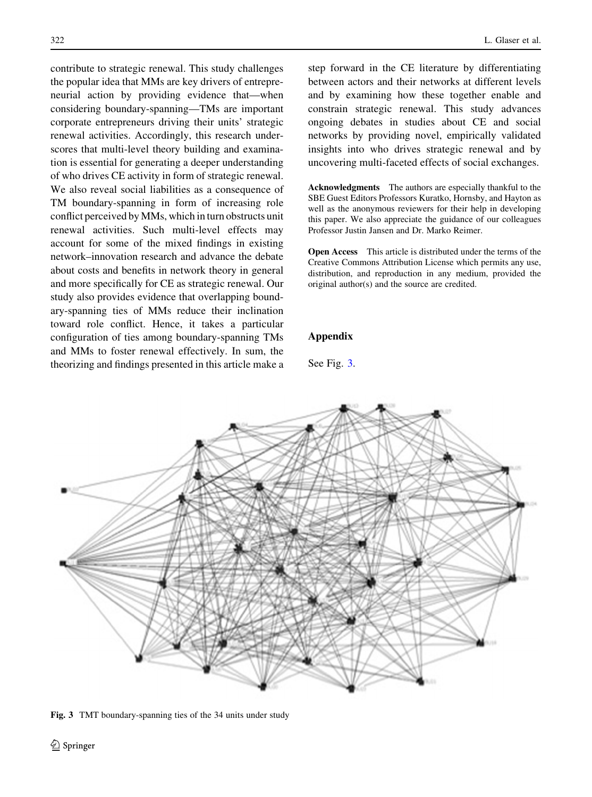<span id="page-17-0"></span>contribute to strategic renewal. This study challenges the popular idea that MMs are key drivers of entrepreneurial action by providing evidence that—when considering boundary-spanning—TMs are important corporate entrepreneurs driving their units' strategic renewal activities. Accordingly, this research underscores that multi-level theory building and examination is essential for generating a deeper understanding of who drives CE activity in form of strategic renewal. We also reveal social liabilities as a consequence of TM boundary-spanning in form of increasing role conflict perceived by MMs, which in turn obstructs unit renewal activities. Such multi-level effects may account for some of the mixed findings in existing network–innovation research and advance the debate about costs and benefits in network theory in general and more specifically for CE as strategic renewal. Our study also provides evidence that overlapping boundary-spanning ties of MMs reduce their inclination toward role conflict. Hence, it takes a particular configuration of ties among boundary-spanning TMs and MMs to foster renewal effectively. In sum, the theorizing and findings presented in this article make a

step forward in the CE literature by differentiating between actors and their networks at different levels and by examining how these together enable and constrain strategic renewal. This study advances ongoing debates in studies about CE and social networks by providing novel, empirically validated insights into who drives strategic renewal and by uncovering multi-faceted effects of social exchanges.

Acknowledgments The authors are especially thankful to the SBE Guest Editors Professors Kuratko, Hornsby, and Hayton as well as the anonymous reviewers for their help in developing this paper. We also appreciate the guidance of our colleagues Professor Justin Jansen and Dr. Marko Reimer.

Open Access This article is distributed under the terms of the Creative Commons Attribution License which permits any use, distribution, and reproduction in any medium, provided the original author(s) and the source are credited.

# Appendix

See Fig. 3.



Fig. 3 TMT boundary-spanning ties of the 34 units under study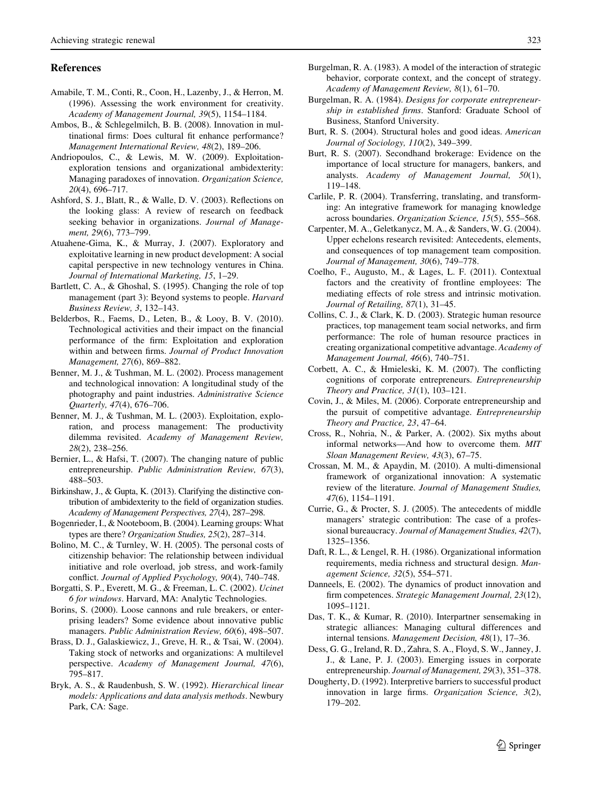#### <span id="page-18-0"></span>References

- Amabile, T. M., Conti, R., Coon, H., Lazenby, J., & Herron, M. (1996). Assessing the work environment for creativity. Academy of Management Journal, 39(5), 1154–1184.
- Ambos, B., & Schlegelmilch, B. B. (2008). Innovation in multinational firms: Does cultural fit enhance performance? Management International Review, 48(2), 189–206.
- Andriopoulos, C., & Lewis, M. W. (2009). Exploitationexploration tensions and organizational ambidexterity: Managing paradoxes of innovation. Organization Science, 20(4), 696–717.
- Ashford, S. J., Blatt, R., & Walle, D. V. (2003). Reflections on the looking glass: A review of research on feedback seeking behavior in organizations. Journal of Management, 29(6), 773–799.
- Atuahene-Gima, K., & Murray, J. (2007). Exploratory and exploitative learning in new product development: A social capital perspective in new technology ventures in China. Journal of International Marketing, 15, 1–29.
- Bartlett, C. A., & Ghoshal, S. (1995). Changing the role of top management (part 3): Beyond systems to people. Harvard Business Review, 3, 132–143.
- Belderbos, R., Faems, D., Leten, B., & Looy, B. V. (2010). Technological activities and their impact on the financial performance of the firm: Exploitation and exploration within and between firms. Journal of Product Innovation Management, 27(6), 869–882.
- Benner, M. J., & Tushman, M. L. (2002). Process management and technological innovation: A longitudinal study of the photography and paint industries. Administrative Science Quarterly, 47(4), 676–706.
- Benner, M. J., & Tushman, M. L. (2003). Exploitation, exploration, and process management: The productivity dilemma revisited. Academy of Management Review, 28(2), 238–256.
- Bernier, L., & Hafsi, T. (2007). The changing nature of public entrepreneurship. Public Administration Review, 67(3), 488–503.
- Birkinshaw, J., & Gupta, K. (2013). Clarifying the distinctive contribution of ambidexterity to the field of organization studies. Academy of Management Perspectives, 27(4), 287–298.
- Bogenrieder, I., & Nooteboom, B. (2004). Learning groups: What types are there? Organization Studies, 25(2), 287–314.
- Bolino, M. C., & Turnley, W. H. (2005). The personal costs of citizenship behavior: The relationship between individual initiative and role overload, job stress, and work-family conflict. Journal of Applied Psychology, 90(4), 740–748.
- Borgatti, S. P., Everett, M. G., & Freeman, L. C. (2002). Ucinet 6 for windows. Harvard, MA: Analytic Technologies.
- Borins, S. (2000). Loose cannons and rule breakers, or enterprising leaders? Some evidence about innovative public managers. Public Administration Review, 60(6), 498–507.
- Brass, D. J., Galaskiewicz, J., Greve, H. R., & Tsai, W. (2004). Taking stock of networks and organizations: A multilevel perspective. Academy of Management Journal, 47(6), 795–817.
- Bryk, A. S., & Raudenbush, S. W. (1992). Hierarchical linear models: Applications and data analysis methods. Newbury Park, CA: Sage.
- Burgelman, R. A. (1983). A model of the interaction of strategic behavior, corporate context, and the concept of strategy. Academy of Management Review, 8(1), 61–70.
- Burgelman, R. A. (1984). Designs for corporate entrepreneurship in established firms. Stanford: Graduate School of Business, Stanford University.
- Burt, R. S. (2004). Structural holes and good ideas. American Journal of Sociology, 110(2), 349–399.
- Burt, R. S. (2007). Secondhand brokerage: Evidence on the importance of local structure for managers, bankers, and analysts. Academy of Management Journal, 50(1), 119–148.
- Carlile, P. R. (2004). Transferring, translating, and transforming: An integrative framework for managing knowledge across boundaries. Organization Science, 15(5), 555–568.
- Carpenter, M. A., Geletkanycz, M. A., & Sanders, W. G. (2004). Upper echelons research revisited: Antecedents, elements, and consequences of top management team composition. Journal of Management, 30(6), 749–778.
- Coelho, F., Augusto, M., & Lages, L. F. (2011). Contextual factors and the creativity of frontline employees: The mediating effects of role stress and intrinsic motivation. Journal of Retailing, 87(1), 31–45.
- Collins, C. J., & Clark, K. D. (2003). Strategic human resource practices, top management team social networks, and firm performance: The role of human resource practices in creating organizational competitive advantage. Academy of Management Journal, 46(6), 740–751.
- Corbett, A. C., & Hmieleski, K. M. (2007). The conflicting cognitions of corporate entrepreneurs. Entrepreneurship Theory and Practice, 31(1), 103–121.
- Covin, J., & Miles, M. (2006). Corporate entrepreneurship and the pursuit of competitive advantage. Entrepreneurship Theory and Practice, 23, 47–64.
- Cross, R., Nohria, N., & Parker, A. (2002). Six myths about informal networks—And how to overcome them. MIT Sloan Management Review, 43(3), 67–75.
- Crossan, M. M., & Apaydin, M. (2010). A multi-dimensional framework of organizational innovation: A systematic review of the literature. Journal of Management Studies, 47(6), 1154–1191.
- Currie, G., & Procter, S. J. (2005). The antecedents of middle managers' strategic contribution: The case of a professional bureaucracy. Journal of Management Studies, 42(7), 1325–1356.
- Daft, R. L., & Lengel, R. H. (1986). Organizational information requirements, media richness and structural design. Management Science, 32(5), 554–571.
- Danneels, E. (2002). The dynamics of product innovation and firm competences. Strategic Management Journal, 23(12), 1095–1121.
- Das, T. K., & Kumar, R. (2010). Interpartner sensemaking in strategic alliances: Managing cultural differences and internal tensions. Management Decision, 48(1), 17–36.
- Dess, G. G., Ireland, R. D., Zahra, S. A., Floyd, S. W., Janney, J. J., & Lane, P. J. (2003). Emerging issues in corporate entrepreneurship. Journal of Management, 29(3), 351–378.
- Dougherty, D. (1992). Interpretive barriers to successful product innovation in large firms. Organization Science, 3(2), 179–202.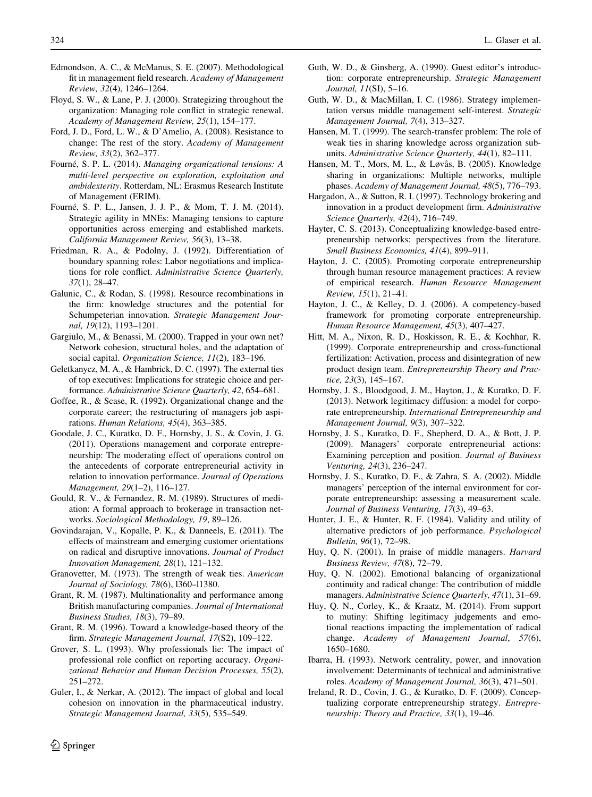- <span id="page-19-0"></span>Edmondson, A. C., & McManus, S. E. (2007). Methodological fit in management field research. Academy of Management Review, 32(4), 1246–1264.
- Floyd, S. W., & Lane, P. J. (2000). Strategizing throughout the organization: Managing role conflict in strategic renewal. Academy of Management Review, 25(1), 154–177.
- Ford, J. D., Ford, L. W., & D'Amelio, A. (2008). Resistance to change: The rest of the story. Academy of Management Review, 33(2), 362–377.
- Fourné, S. P. L. (2014). Managing organizational tensions: A multi-level perspective on exploration, exploitation and ambidexterity. Rotterdam, NL: Erasmus Research Institute of Management (ERIM).
- Fourné, S. P. L., Jansen, J. J. P., & Mom, T. J. M. (2014). Strategic agility in MNEs: Managing tensions to capture opportunities across emerging and established markets. California Management Review, 56(3), 13–38.
- Friedman, R. A., & Podolny, J. (1992). Differentiation of boundary spanning roles: Labor negotiations and implications for role conflict. Administrative Science Quarterly, 37(1), 28–47.
- Galunic, C., & Rodan, S. (1998). Resource recombinations in the firm: knowledge structures and the potential for Schumpeterian innovation. Strategic Management Journal, 19(12), 1193–1201.
- Gargiulo, M., & Benassi, M. (2000). Trapped in your own net? Network cohesion, structural holes, and the adaptation of social capital. Organization Science, 11(2), 183-196.
- Geletkanycz, M. A., & Hambrick, D. C. (1997). The external ties of top executives: Implications for strategic choice and performance. Administrative Science Quarterly, 42, 654–681.
- Goffee, R., & Scase, R. (1992). Organizational change and the corporate career; the restructuring of managers job aspirations. Human Relations, 45(4), 363–385.
- Goodale, J. C., Kuratko, D. F., Hornsby, J. S., & Covin, J. G. (2011). Operations management and corporate entrepreneurship: The moderating effect of operations control on the antecedents of corporate entrepreneurial activity in relation to innovation performance. Journal of Operations Management, 29(1–2), 116–127.
- Gould, R. V., & Fernandez, R. M. (1989). Structures of mediation: A formal approach to brokerage in transaction networks. Sociological Methodology, 19, 89–126.
- Govindarajan, V., Kopalle, P. K., & Danneels, E. (2011). The effects of mainstream and emerging customer orientations on radical and disruptive innovations. Journal of Product Innovation Management, 28(1), 121–132.
- Granovetter, M. (1973). The strength of weak ties. American Journal of Sociology, 78(6), l360–l1380.
- Grant, R. M. (1987). Multinationality and performance among British manufacturing companies. Journal of International Business Studies, 18(3), 79–89.
- Grant, R. M. (1996). Toward a knowledge-based theory of the firm. Strategic Management Journal, 17(S2), 109–122.
- Grover, S. L. (1993). Why professionals lie: The impact of professional role conflict on reporting accuracy. Organizational Behavior and Human Decision Processes, 55(2), 251–272.
- Guler, I., & Nerkar, A. (2012). The impact of global and local cohesion on innovation in the pharmaceutical industry. Strategic Management Journal, 33(5), 535–549.
- Guth, W. D., & Ginsberg, A. (1990). Guest editor's introduction: corporate entrepreneurship. Strategic Management Journal, 11(SI), 5–16.
- Guth, W. D., & MacMillan, I. C. (1986). Strategy implementation versus middle management self-interest. Strategic Management Journal, 7(4), 313–327.
- Hansen, M. T. (1999). The search-transfer problem: The role of weak ties in sharing knowledge across organization subunits. Administrative Science Quarterly, 44(1), 82–111.
- Hansen, M. T., Mors, M. L., & Løvås, B. (2005). Knowledge sharing in organizations: Multiple networks, multiple phases. Academy of Management Journal, 48(5), 776–793.
- Hargadon, A., & Sutton, R. I. (1997). Technology brokering and innovation in a product development firm. Administrative Science Quarterly, 42(4), 716–749.
- Hayter, C. S. (2013). Conceptualizing knowledge-based entrepreneurship networks: perspectives from the literature. Small Business Economics, 41(4), 899–911.
- Hayton, J. C. (2005). Promoting corporate entrepreneurship through human resource management practices: A review of empirical research. Human Resource Management Review, 15(1), 21–41.
- Hayton, J. C., & Kelley, D. J. (2006). A competency-based framework for promoting corporate entrepreneurship. Human Resource Management, 45(3), 407–427.
- Hitt, M. A., Nixon, R. D., Hoskisson, R. E., & Kochhar, R. (1999). Corporate entrepreneurship and cross-functional fertilization: Activation, process and disintegration of new product design team. Entrepreneurship Theory and Practice, 23(3), 145–167.
- Hornsby, J. S., Bloodgood, J. M., Hayton, J., & Kuratko, D. F. (2013). Network legitimacy diffusion: a model for corporate entrepreneurship. International Entrepreneurship and Management Journal, 9(3), 307–322.
- Hornsby, J. S., Kuratko, D. F., Shepherd, D. A., & Bott, J. P. (2009). Managers' corporate entrepreneurial actions: Examining perception and position. Journal of Business Venturing, 24(3), 236–247.
- Hornsby, J. S., Kuratko, D. F., & Zahra, S. A. (2002). Middle managers' perception of the internal environment for corporate entrepreneurship: assessing a measurement scale. Journal of Business Venturing, 17(3), 49–63.
- Hunter, J. E., & Hunter, R. F. (1984). Validity and utility of alternative predictors of job performance. Psychological Bulletin, 96(1), 72–98.
- Huy, Q. N. (2001). In praise of middle managers. Harvard Business Review, 47(8), 72–79.
- Huy, Q. N. (2002). Emotional balancing of organizational continuity and radical change: The contribution of middle managers. Administrative Science Quarterly, 47(1), 31-69.
- Huy, Q. N., Corley, K., & Kraatz, M. (2014). From support to mutiny: Shifting legitimacy judgements and emotional reactions impacting the implementation of radical change. Academy of Management Journal, 57(6), 1650–1680.
- Ibarra, H. (1993). Network centrality, power, and innovation involvement: Determinants of technical and administrative roles. Academy of Management Journal, 36(3), 471–501.
- Ireland, R. D., Covin, J. G., & Kuratko, D. F. (2009). Conceptualizing corporate entrepreneurship strategy. Entrepreneurship: Theory and Practice, 33(1), 19–46.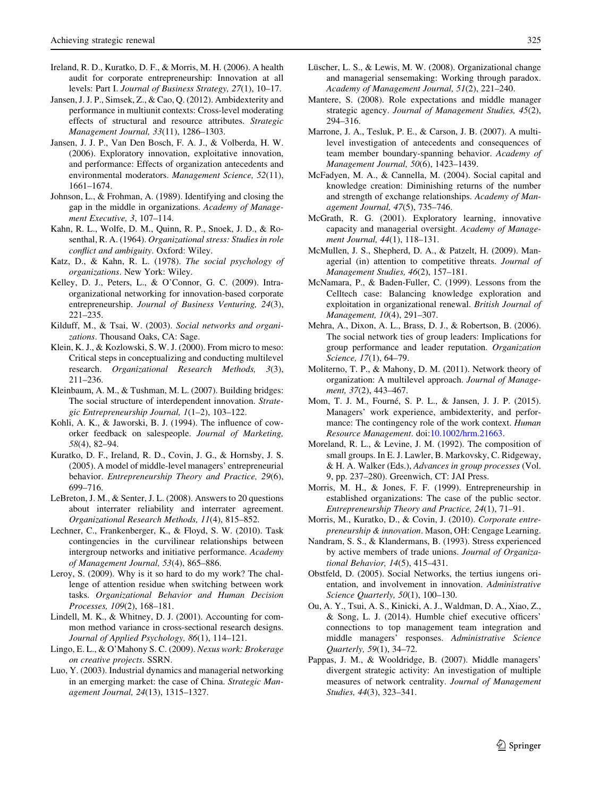- <span id="page-20-0"></span>Ireland, R. D., Kuratko, D. F., & Morris, M. H. (2006). A health audit for corporate entrepreneurship: Innovation at all levels: Part I. Journal of Business Strategy, 27(1), 10–17.
- Jansen, J. J. P., Simsek, Z., & Cao, Q. (2012). Ambidexterity and performance in multiunit contexts: Cross-level moderating effects of structural and resource attributes. Strategic Management Journal, 33(11), 1286–1303.
- Jansen, J. J. P., Van Den Bosch, F. A. J., & Volberda, H. W. (2006). Exploratory innovation, exploitative innovation, and performance: Effects of organization antecedents and environmental moderators. Management Science, 52(11), 1661–1674.
- Johnson, L., & Frohman, A. (1989). Identifying and closing the gap in the middle in organizations. Academy of Management Executive, 3, 107–114.
- Kahn, R. L., Wolfe, D. M., Quinn, R. P., Snoek, J. D., & Rosenthal, R. A. (1964). Organizational stress: Studies in role conflict and ambiguity. Oxford: Wiley.
- Katz, D., & Kahn, R. L. (1978). The social psychology of organizations. New York: Wiley.
- Kelley, D. J., Peters, L., & O'Connor, G. C. (2009). Intraorganizational networking for innovation-based corporate entrepreneurship. Journal of Business Venturing, 24(3), 221–235.
- Kilduff, M., & Tsai, W. (2003). Social networks and organizations. Thousand Oaks, CA: Sage.
- Klein, K. J., & Kozlowski, S. W. J. (2000). From micro to meso: Critical steps in conceptualizing and conducting multilevel research. Organizational Research Methods, 3(3), 211–236.
- Kleinbaum, A. M., & Tushman, M. L. (2007). Building bridges: The social structure of interdependent innovation. Strategic Entrepreneurship Journal, 1(1–2), 103–122.
- Kohli, A. K., & Jaworski, B. J. (1994). The influence of coworker feedback on salespeople. Journal of Marketing, 58(4), 82–94.
- Kuratko, D. F., Ireland, R. D., Covin, J. G., & Hornsby, J. S. (2005). A model of middle-level managers' entrepreneurial behavior. Entrepreneurship Theory and Practice, 29(6), 699–716.
- LeBreton, J. M., & Senter, J. L. (2008). Answers to 20 questions about interrater reliability and interrater agreement. Organizational Research Methods, 11(4), 815–852.
- Lechner, C., Frankenberger, K., & Floyd, S. W. (2010). Task contingencies in the curvilinear relationships between intergroup networks and initiative performance. Academy of Management Journal, 53(4), 865–886.
- Leroy, S. (2009). Why is it so hard to do my work? The challenge of attention residue when switching between work tasks. Organizational Behavior and Human Decision Processes, 109(2), 168–181.
- Lindell, M. K., & Whitney, D. J. (2001). Accounting for common method variance in cross-sectional research designs. Journal of Applied Psychology, 86(1), 114–121.
- Lingo, E. L., & O'Mahony S. C. (2009). Nexus work: Brokerage on creative projects. SSRN.
- Luo, Y. (2003). Industrial dynamics and managerial networking in an emerging market: the case of China. Strategic Management Journal, 24(13), 1315–1327.
- Lüscher, L. S., & Lewis, M. W. (2008). Organizational change and managerial sensemaking: Working through paradox. Academy of Management Journal, 51(2), 221–240.
- Mantere, S. (2008). Role expectations and middle manager strategic agency. Journal of Management Studies, 45(2), 294–316.
- Marrone, J. A., Tesluk, P. E., & Carson, J. B. (2007). A multilevel investigation of antecedents and consequences of team member boundary-spanning behavior. Academy of Management Journal, 50(6), 1423–1439.
- McFadyen, M. A., & Cannella, M. (2004). Social capital and knowledge creation: Diminishing returns of the number and strength of exchange relationships. Academy of Management Journal, 47(5), 735–746.
- McGrath, R. G. (2001). Exploratory learning, innovative capacity and managerial oversight. Academy of Management Journal, 44(1), 118–131.
- McMullen, J. S., Shepherd, D. A., & Patzelt, H. (2009). Managerial (in) attention to competitive threats. Journal of Management Studies, 46(2), 157–181.
- McNamara, P., & Baden-Fuller, C. (1999). Lessons from the Celltech case: Balancing knowledge exploration and exploitation in organizational renewal. British Journal of Management, 10(4), 291–307.
- Mehra, A., Dixon, A. L., Brass, D. J., & Robertson, B. (2006). The social network ties of group leaders: Implications for group performance and leader reputation. Organization Science, 17(1), 64–79.
- Moliterno, T. P., & Mahony, D. M. (2011). Network theory of organization: A multilevel approach. Journal of Management, 37(2), 443–467.
- Mom, T. J. M., Fourné, S. P. L., & Jansen, J. J. P. (2015). Managers' work experience, ambidexterity, and performance: The contingency role of the work context. Human Resource Management. doi:[10.1002/hrm.21663.](http://dx.doi.org/10.1002/hrm.21663)
- Moreland, R. L., & Levine, J. M. (1992). The composition of small groups. In E. J. Lawler, B. Markovsky, C. Ridgeway, & H. A. Walker (Eds.), Advances in group processes (Vol. 9, pp. 237–280). Greenwich, CT: JAI Press.
- Morris, M. H., & Jones, F. F. (1999). Entrepreneurship in established organizations: The case of the public sector. Entrepreneurship Theory and Practice, 24(1), 71–91.
- Morris, M., Kuratko, D., & Covin, J. (2010). Corporate entrepreneurship & innovation. Mason, OH: Cengage Learning.
- Nandram, S. S., & Klandermans, B. (1993). Stress experienced by active members of trade unions. Journal of Organizational Behavior, 14(5), 415–431.
- Obstfeld, D. (2005). Social Networks, the tertius iungens orientation, and involvement in innovation. Administrative Science Quarterly, 50(1), 100–130.
- Ou, A. Y., Tsui, A. S., Kinicki, A. J., Waldman, D. A., Xiao, Z., & Song, L. J. (2014). Humble chief executive officers' connections to top management team integration and middle managers' responses. Administrative Science Quarterly, 59(1), 34–72.
- Pappas, J. M., & Wooldridge, B. (2007). Middle managers' divergent strategic activity: An investigation of multiple measures of network centrality. Journal of Management Studies, 44(3), 323–341.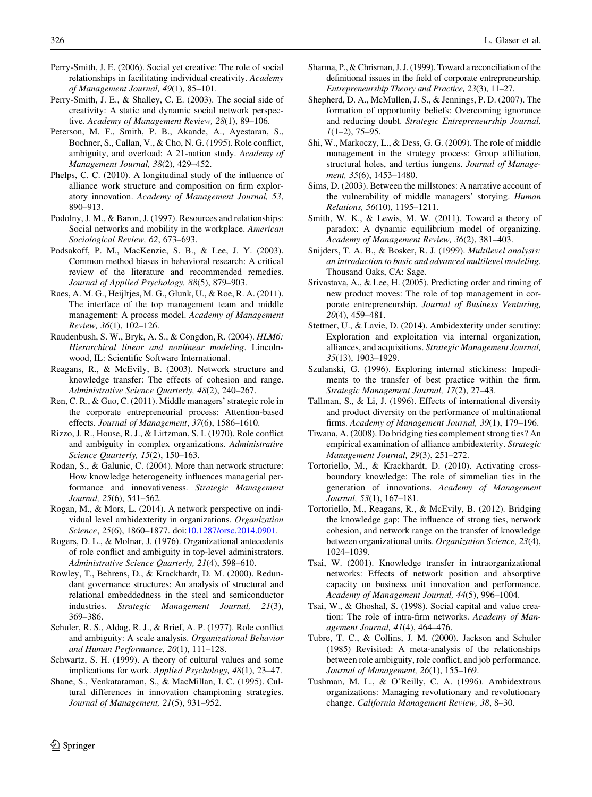- <span id="page-21-0"></span>Perry-Smith, J. E. (2006). Social yet creative: The role of social relationships in facilitating individual creativity. Academy of Management Journal, 49(1), 85–101.
- Perry-Smith, J. E., & Shalley, C. E. (2003). The social side of creativity: A static and dynamic social network perspective. Academy of Management Review, 28(1), 89–106.
- Peterson, M. F., Smith, P. B., Akande, A., Ayestaran, S., Bochner, S., Callan, V., & Cho, N. G. (1995). Role conflict, ambiguity, and overload: A 21-nation study. Academy of Management Journal, 38(2), 429–452.
- Phelps, C. C. (2010). A longitudinal study of the influence of alliance work structure and composition on firm exploratory innovation. Academy of Management Journal, 53, 890–913.
- Podolny, J. M., & Baron, J. (1997). Resources and relationships: Social networks and mobility in the workplace. American Sociological Review, 62, 673–693.
- Podsakoff, P. M., MacKenzie, S. B., & Lee, J. Y. (2003). Common method biases in behavioral research: A critical review of the literature and recommended remedies. Journal of Applied Psychology, 88(5), 879–903.
- Raes, A. M. G., Heijltjes, M. G., Glunk, U., & Roe, R. A. (2011). The interface of the top management team and middle management: A process model. Academy of Management Review, 36(1), 102–126.
- Raudenbush, S. W., Bryk, A. S., & Congdon, R. (2004). HLM6: Hierarchical linear and nonlinear modeling. Lincolnwood, IL: Scientific Software International.
- Reagans, R., & McEvily, B. (2003). Network structure and knowledge transfer: The effects of cohesion and range. Administrative Science Quarterly, 48(2), 240–267.
- Ren, C. R., & Guo, C. (2011). Middle managers' strategic role in the corporate entrepreneurial process: Attention-based effects. Journal of Management, 37(6), 1586–1610.
- Rizzo, J. R., House, R. J., & Lirtzman, S. I. (1970). Role conflict and ambiguity in complex organizations. Administrative Science Quarterly, 15(2), 150–163.
- Rodan, S., & Galunic, C. (2004). More than network structure: How knowledge heterogeneity influences managerial performance and innovativeness. Strategic Management Journal, 25(6), 541–562.
- Rogan, M., & Mors, L. (2014). A network perspective on individual level ambidexterity in organizations. Organization Science, 25(6), 1860–1877. doi:[10.1287/orsc.2014.0901](http://dx.doi.org/10.1287/orsc.2014.0901).
- Rogers, D. L., & Molnar, J. (1976). Organizational antecedents of role conflict and ambiguity in top-level administrators. Administrative Science Quarterly, 21(4), 598–610.
- Rowley, T., Behrens, D., & Krackhardt, D. M. (2000). Redundant governance structures: An analysis of structural and relational embeddedness in the steel and semiconductor industries. Strategic Management Journal, 21(3), 369–386.
- Schuler, R. S., Aldag, R. J., & Brief, A. P. (1977). Role conflict and ambiguity: A scale analysis. Organizational Behavior and Human Performance, 20(1), 111–128.
- Schwartz, S. H. (1999). A theory of cultural values and some implications for work. Applied Psychology, 48(1), 23–47.
- Shane, S., Venkataraman, S., & MacMillan, I. C. (1995). Cultural differences in innovation championing strategies. Journal of Management, 21(5), 931–952.
- Sharma, P., & Chrisman, J. J. (1999). Toward a reconciliation of the definitional issues in the field of corporate entrepreneurship. Entrepreneurship Theory and Practice, 23(3), 11–27.
- Shepherd, D. A., McMullen, J. S., & Jennings, P. D. (2007). The formation of opportunity beliefs: Overcoming ignorance and reducing doubt. Strategic Entrepreneurship Journal,  $1(1-2)$ , 75-95.
- Shi, W., Markoczy, L., & Dess, G. G. (2009). The role of middle management in the strategy process: Group affiliation, structural holes, and tertius iungens. Journal of Management, 35(6), 1453–1480.
- Sims, D. (2003). Between the millstones: A narrative account of the vulnerability of middle managers' storying. Human Relations, 56(10), 1195–1211.
- Smith, W. K., & Lewis, M. W. (2011). Toward a theory of paradox: A dynamic equilibrium model of organizing. Academy of Management Review, 36(2), 381–403.
- Snijders, T. A. B., & Bosker, R. J. (1999). Multilevel analysis: an introduction to basic and advanced multilevel modeling. Thousand Oaks, CA: Sage.
- Srivastava, A., & Lee, H. (2005). Predicting order and timing of new product moves: The role of top management in corporate entrepreneurship. Journal of Business Venturing, 20(4), 459–481.
- Stettner, U., & Lavie, D. (2014). Ambidexterity under scrutiny: Exploration and exploitation via internal organization, alliances, and acquisitions. Strategic Management Journal, 35(13), 1903–1929.
- Szulanski, G. (1996). Exploring internal stickiness: Impediments to the transfer of best practice within the firm. Strategic Management Journal, 17(2), 27–43.
- Tallman, S., & Li, J. (1996). Effects of international diversity and product diversity on the performance of multinational firms. Academy of Management Journal, 39(1), 179–196.
- Tiwana, A. (2008). Do bridging ties complement strong ties? An empirical examination of alliance ambidexterity. Strategic Management Journal, 29(3), 251–272.
- Tortoriello, M., & Krackhardt, D. (2010). Activating crossboundary knowledge: The role of simmelian ties in the generation of innovations. Academy of Management Journal, 53(1), 167–181.
- Tortoriello, M., Reagans, R., & McEvily, B. (2012). Bridging the knowledge gap: The influence of strong ties, network cohesion, and network range on the transfer of knowledge between organizational units. Organization Science, 23(4), 1024–1039.
- Tsai, W. (2001). Knowledge transfer in intraorganizational networks: Effects of network position and absorptive capacity on business unit innovation and performance. Academy of Management Journal, 44(5), 996–1004.
- Tsai, W., & Ghoshal, S. (1998). Social capital and value creation: The role of intra-firm networks. Academy of Management Journal, 41(4), 464–476.
- Tubre, T. C., & Collins, J. M. (2000). Jackson and Schuler (1985) Revisited: A meta-analysis of the relationships between role ambiguity, role conflict, and job performance. Journal of Management, 26(1), 155–169.
- Tushman, M. L., & O'Reilly, C. A. (1996). Ambidextrous organizations: Managing revolutionary and revolutionary change. California Management Review, 38, 8–30.